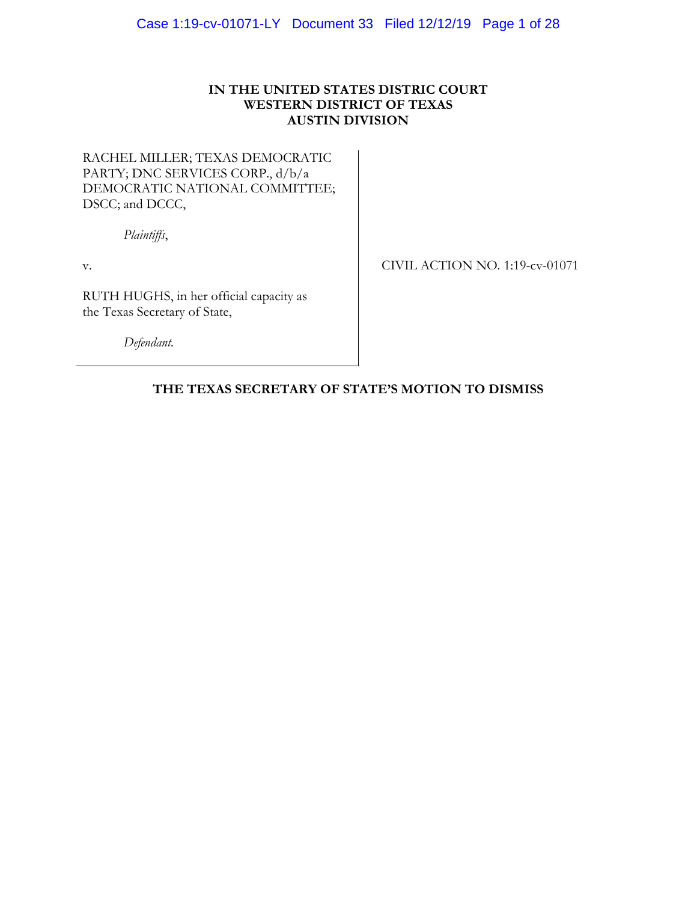# **IN THE UNITED STATES DISTRIC COURT WESTERN DISTRICT OF TEXAS AUSTIN DIVISION**

# RACHEL MILLER; TEXAS DEMOCRATIC PARTY; DNC SERVICES CORP., d/b/a DEMOCRATIC NATIONAL COMMITTEE; DSCC; and DCCC,

*Plaintiffs*,

v.

CIVIL ACTION NO. 1:19-cv-01071

RUTH HUGHS, in her official capacity as the Texas Secretary of State,

*Defendant.*

# **THE TEXAS SECRETARY OF STATE'S MOTION TO DISMISS**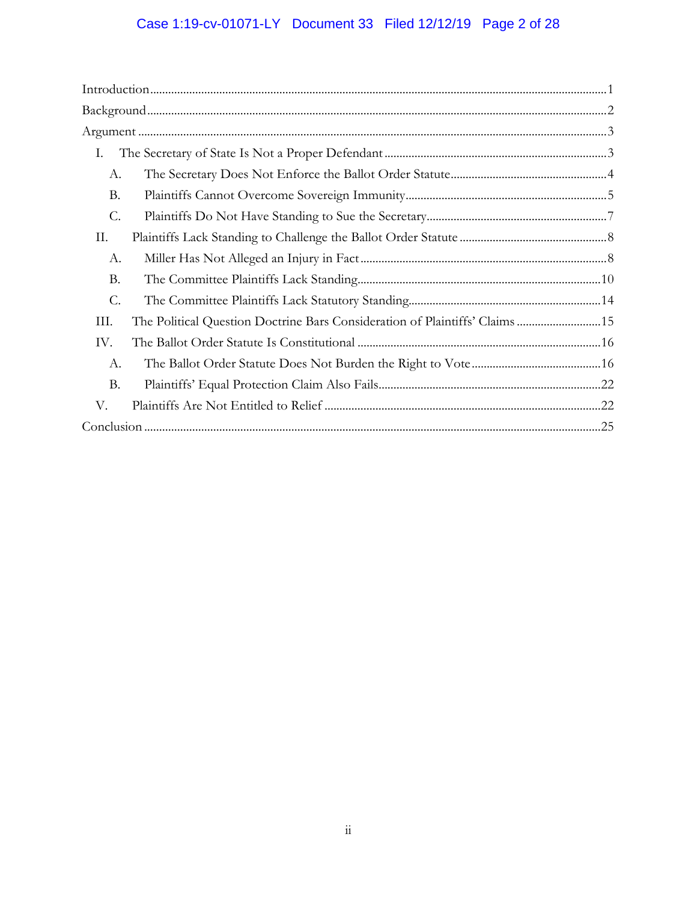# Case 1:19-cv-01071-LY Document 33 Filed 12/12/19 Page 2 of 28

| Ι.        |                                                                              |  |
|-----------|------------------------------------------------------------------------------|--|
| А.        |                                                                              |  |
| <b>B.</b> |                                                                              |  |
| C.        |                                                                              |  |
| П.        |                                                                              |  |
| А.        |                                                                              |  |
| <b>B.</b> |                                                                              |  |
| C.        |                                                                              |  |
| III.      | The Political Question Doctrine Bars Consideration of Plaintiffs' Claims  15 |  |
| IV.       |                                                                              |  |
| A.        |                                                                              |  |
| <b>B.</b> |                                                                              |  |
| V.        |                                                                              |  |
|           |                                                                              |  |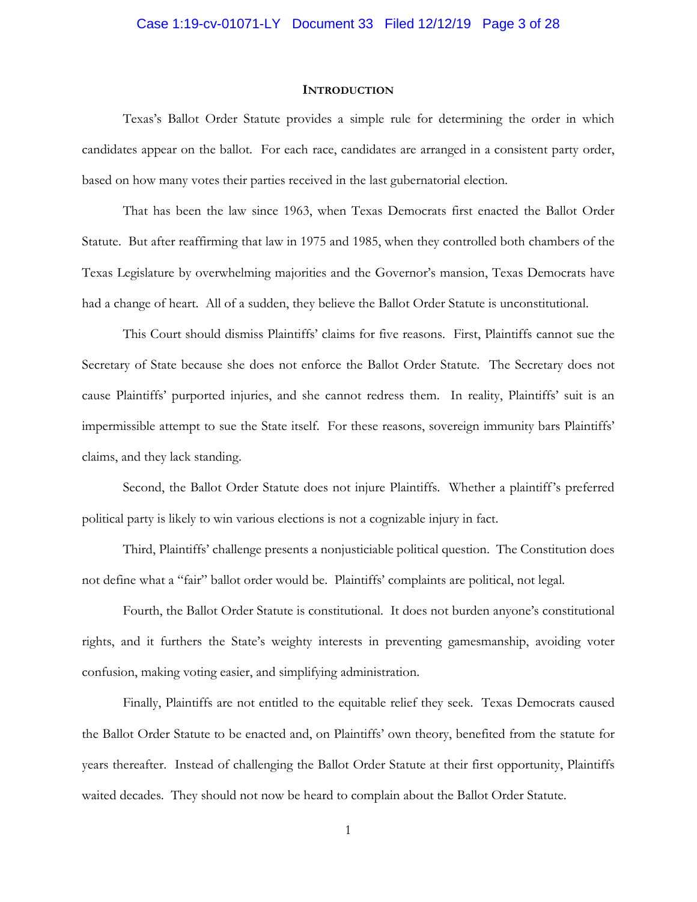# Case 1:19-cv-01071-LY Document 33 Filed 12/12/19 Page 3 of 28

#### **INTRODUCTION**

Texas's Ballot Order Statute provides a simple rule for determining the order in which candidates appear on the ballot. For each race, candidates are arranged in a consistent party order, based on how many votes their parties received in the last gubernatorial election.

That has been the law since 1963, when Texas Democrats first enacted the Ballot Order Statute. But after reaffirming that law in 1975 and 1985, when they controlled both chambers of the Texas Legislature by overwhelming majorities and the Governor's mansion, Texas Democrats have had a change of heart. All of a sudden, they believe the Ballot Order Statute is unconstitutional.

This Court should dismiss Plaintiffs' claims for five reasons. First, Plaintiffs cannot sue the Secretary of State because she does not enforce the Ballot Order Statute. The Secretary does not cause Plaintiffs' purported injuries, and she cannot redress them. In reality, Plaintiffs' suit is an impermissible attempt to sue the State itself. For these reasons, sovereign immunity bars Plaintiffs' claims, and they lack standing.

Second, the Ballot Order Statute does not injure Plaintiffs. Whether a plaintiff's preferred political party is likely to win various elections is not a cognizable injury in fact.

Third, Plaintiffs' challenge presents a nonjusticiable political question. The Constitution does not define what a "fair" ballot order would be. Plaintiffs' complaints are political, not legal.

Fourth, the Ballot Order Statute is constitutional. It does not burden anyone's constitutional rights, and it furthers the State's weighty interests in preventing gamesmanship, avoiding voter confusion, making voting easier, and simplifying administration.

Finally, Plaintiffs are not entitled to the equitable relief they seek. Texas Democrats caused the Ballot Order Statute to be enacted and, on Plaintiffs' own theory, benefited from the statute for years thereafter. Instead of challenging the Ballot Order Statute at their first opportunity, Plaintiffs waited decades. They should not now be heard to complain about the Ballot Order Statute.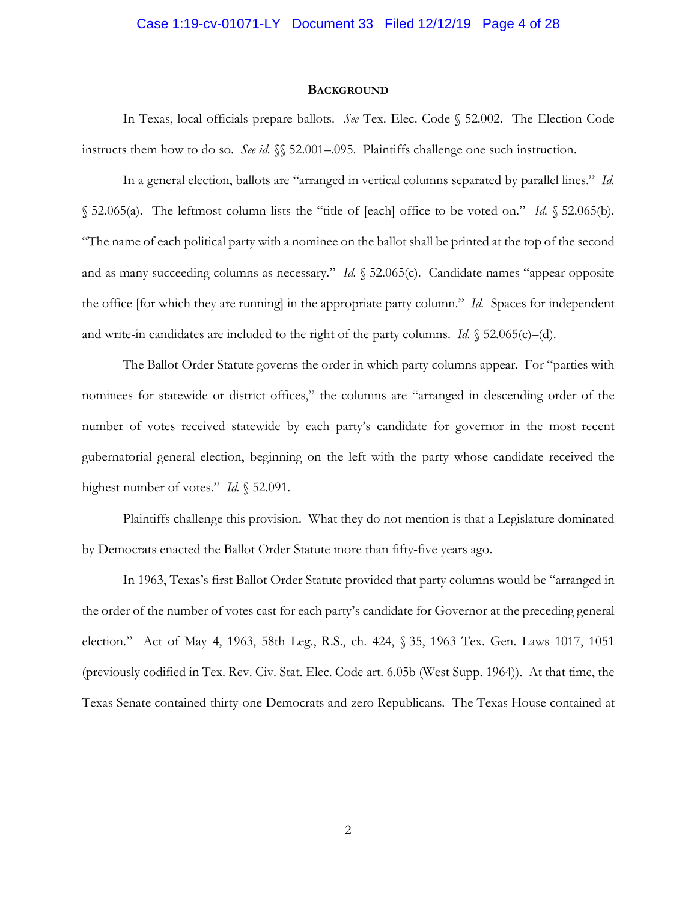# Case 1:19-cv-01071-LY Document 33 Filed 12/12/19 Page 4 of 28

#### **BACKGROUND**

In Texas, local officials prepare ballots. *See* Tex. Elec. Code § 52.002. The Election Code instructs them how to do so. *See id.* §§ 52.001–.095. Plaintiffs challenge one such instruction.

In a general election, ballots are "arranged in vertical columns separated by parallel lines." *Id.* § 52.065(a). The leftmost column lists the "title of [each] office to be voted on." *Id.* § 52.065(b). "The name of each political party with a nominee on the ballot shall be printed at the top of the second and as many succeeding columns as necessary." *Id.* § 52.065(c). Candidate names "appear opposite the office [for which they are running] in the appropriate party column." *Id.* Spaces for independent and write-in candidates are included to the right of the party columns. *Id.* § 52.065(c)–(d).

The Ballot Order Statute governs the order in which party columns appear. For "parties with nominees for statewide or district offices," the columns are "arranged in descending order of the number of votes received statewide by each party's candidate for governor in the most recent gubernatorial general election, beginning on the left with the party whose candidate received the highest number of votes." *Id.* § 52.091.

Plaintiffs challenge this provision. What they do not mention is that a Legislature dominated by Democrats enacted the Ballot Order Statute more than fifty-five years ago.

In 1963, Texas's first Ballot Order Statute provided that party columns would be "arranged in the order of the number of votes cast for each party's candidate for Governor at the preceding general election." Act of May 4, 1963, 58th Leg., R.S., ch. 424, § 35, 1963 Tex. Gen. Laws 1017, 1051 (previously codified in Tex. Rev. Civ. Stat. Elec. Code art. 6.05b (West Supp. 1964)). At that time, the Texas Senate contained thirty-one Democrats and zero Republicans. The Texas House contained at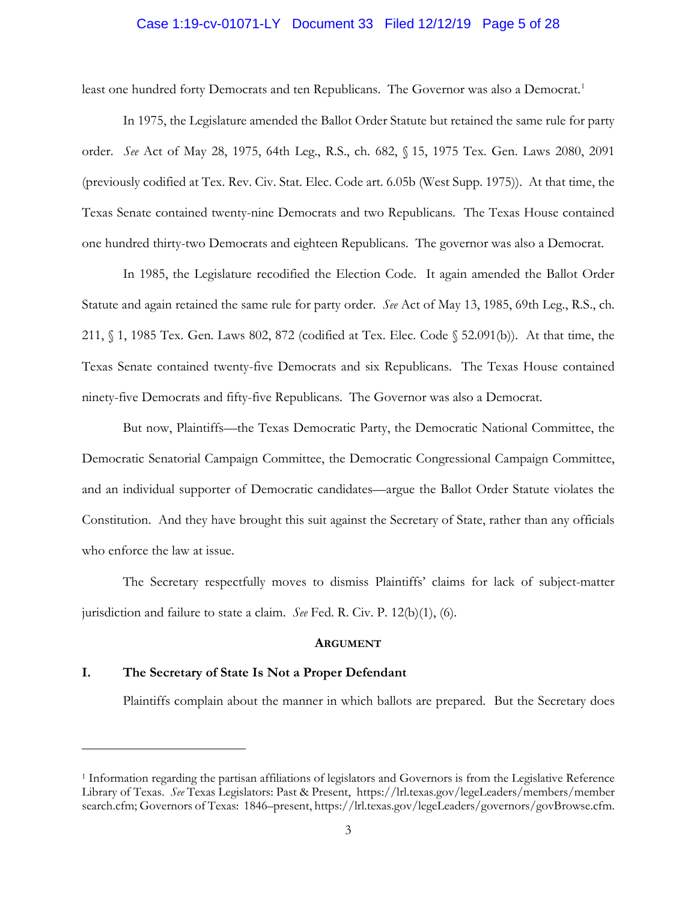### Case 1:19-cv-01071-LY Document 33 Filed 12/12/19 Page 5 of 28

least one hundred forty Democrats and ten Republicans. The Governor was also a Democrat.<sup>1</sup>

In 1975, the Legislature amended the Ballot Order Statute but retained the same rule for party order. *See* Act of May 28, 1975, 64th Leg., R.S., ch. 682, § 15, 1975 Tex. Gen. Laws 2080, 2091 (previously codified at Tex. Rev. Civ. Stat. Elec. Code art. 6.05b (West Supp. 1975)). At that time, the Texas Senate contained twenty-nine Democrats and two Republicans. The Texas House contained one hundred thirty-two Democrats and eighteen Republicans. The governor was also a Democrat.

In 1985, the Legislature recodified the Election Code. It again amended the Ballot Order Statute and again retained the same rule for party order. *See* Act of May 13, 1985, 69th Leg., R.S., ch. 211, § 1, 1985 Tex. Gen. Laws 802, 872 (codified at Tex. Elec. Code § 52.091(b)). At that time, the Texas Senate contained twenty-five Democrats and six Republicans. The Texas House contained ninety-five Democrats and fifty-five Republicans. The Governor was also a Democrat.

But now, Plaintiffs—the Texas Democratic Party, the Democratic National Committee, the Democratic Senatorial Campaign Committee, the Democratic Congressional Campaign Committee, and an individual supporter of Democratic candidates—argue the Ballot Order Statute violates the Constitution. And they have brought this suit against the Secretary of State, rather than any officials who enforce the law at issue.

The Secretary respectfully moves to dismiss Plaintiffs' claims for lack of subject-matter jurisdiction and failure to state a claim. *See* Fed. R. Civ. P. 12(b)(1), (6).

#### **ARGUMENT**

# **I. The Secretary of State Is Not a Proper Defendant**

 $\overline{a}$ 

Plaintiffs complain about the manner in which ballots are prepared. But the Secretary does

<sup>1</sup> Information regarding the partisan affiliations of legislators and Governors is from the Legislative Reference Library of Texas. *See* Texas Legislators: Past & Present, https://lrl.texas.gov/legeLeaders/members/member search.cfm; Governors of Texas: 1846–present, https://lrl.texas.gov/legeLeaders/governors/govBrowse.cfm.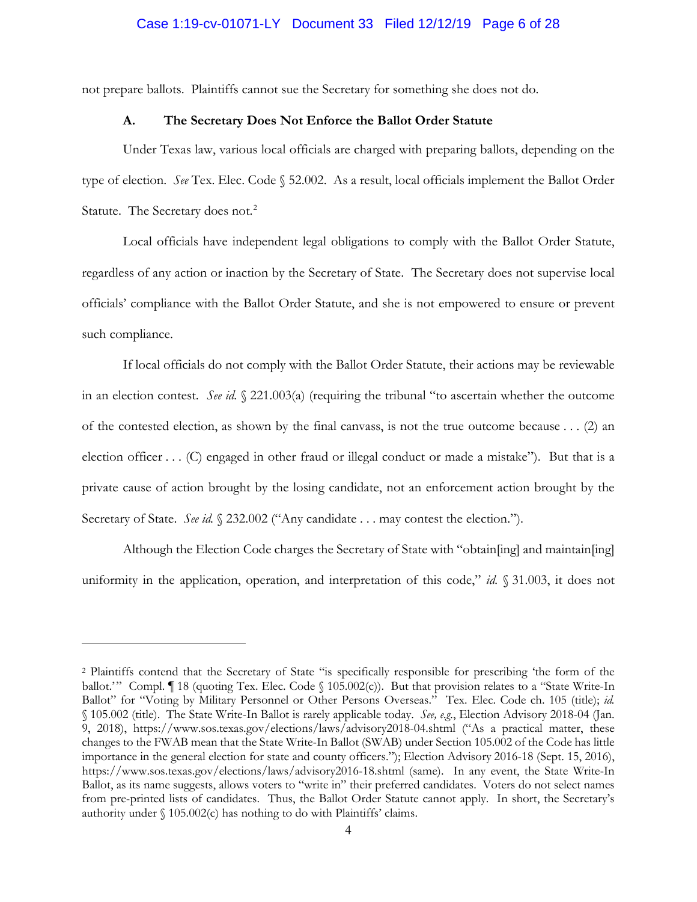not prepare ballots. Plaintiffs cannot sue the Secretary for something she does not do.

# **A. The Secretary Does Not Enforce the Ballot Order Statute**

Under Texas law, various local officials are charged with preparing ballots, depending on the type of election. *See* Tex. Elec. Code § 52.002. As a result, local officials implement the Ballot Order Statute. The Secretary does not.<sup>2</sup>

Local officials have independent legal obligations to comply with the Ballot Order Statute, regardless of any action or inaction by the Secretary of State. The Secretary does not supervise local officials' compliance with the Ballot Order Statute, and she is not empowered to ensure or prevent such compliance.

If local officials do not comply with the Ballot Order Statute, their actions may be reviewable in an election contest. *See id.* § 221.003(a) (requiring the tribunal "to ascertain whether the outcome of the contested election, as shown by the final canvass, is not the true outcome because . . . (2) an election officer . . . (C) engaged in other fraud or illegal conduct or made a mistake"). But that is a private cause of action brought by the losing candidate, not an enforcement action brought by the Secretary of State. *See id.* § 232.002 ("Any candidate . . . may contest the election.").

Although the Election Code charges the Secretary of State with "obtain[ing] and maintain[ing] uniformity in the application, operation, and interpretation of this code," *id.* § 31.003, it does not

 $\overline{a}$ 

<sup>2</sup> Plaintiffs contend that the Secretary of State "is specifically responsible for prescribing 'the form of the ballot.'" Compl. ¶ 18 (quoting Tex. Elec. Code § 105.002(c)). But that provision relates to a "State Write-In Ballot" for "Voting by Military Personnel or Other Persons Overseas." Tex. Elec. Code ch. 105 (title); *id.* § 105.002 (title). The State Write-In Ballot is rarely applicable today. *See, e.g.*, Election Advisory 2018-04 (Jan. 9, 2018), https://www.sos.texas.gov/elections/laws/advisory2018-04.shtml ("As a practical matter, these changes to the FWAB mean that the State Write-In Ballot (SWAB) under Section 105.002 of the Code has little importance in the general election for state and county officers."); Election Advisory 2016-18 (Sept. 15, 2016), https://www.sos.texas.gov/elections/laws/advisory2016-18.shtml (same). In any event, the State Write-In Ballot, as its name suggests, allows voters to "write in" their preferred candidates. Voters do not select names from pre-printed lists of candidates. Thus, the Ballot Order Statute cannot apply. In short, the Secretary's authority under § 105.002(c) has nothing to do with Plaintiffs' claims.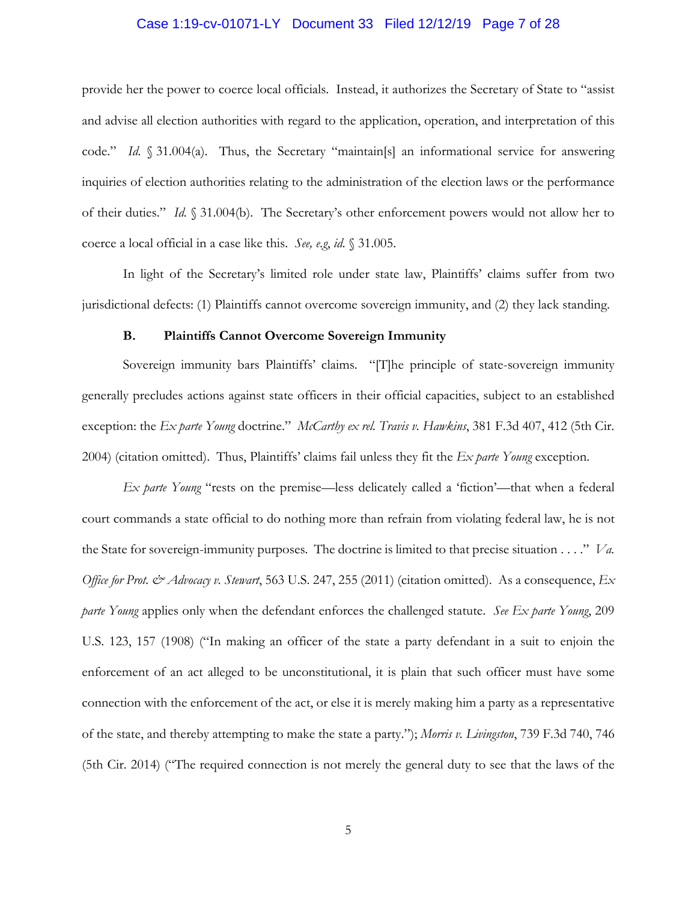### Case 1:19-cv-01071-LY Document 33 Filed 12/12/19 Page 7 of 28

provide her the power to coerce local officials. Instead, it authorizes the Secretary of State to "assist and advise all election authorities with regard to the application, operation, and interpretation of this code." *Id.* § 31.004(a). Thus, the Secretary "maintain[s] an informational service for answering inquiries of election authorities relating to the administration of the election laws or the performance of their duties." *Id.* § 31.004(b). The Secretary's other enforcement powers would not allow her to coerce a local official in a case like this. *See, e.g*, *id.* § 31.005.

In light of the Secretary's limited role under state law, Plaintiffs' claims suffer from two jurisdictional defects: (1) Plaintiffs cannot overcome sovereign immunity, and (2) they lack standing.

### **B. Plaintiffs Cannot Overcome Sovereign Immunity**

Sovereign immunity bars Plaintiffs' claims. "[T]he principle of state-sovereign immunity generally precludes actions against state officers in their official capacities, subject to an established exception: the *Ex parte Young* doctrine." *McCarthy ex rel. Travis v. Hawkins*, 381 F.3d 407, 412 (5th Cir. 2004) (citation omitted). Thus, Plaintiffs' claims fail unless they fit the *Ex parte Young* exception.

*Ex parte Young* "rests on the premise—less delicately called a 'fiction'—that when a federal court commands a state official to do nothing more than refrain from violating federal law, he is not the State for sovereign-immunity purposes. The doctrine is limited to that precise situation . . . ." *Va. Office for Prot. & Advocacy v. Stewart*, 563 U.S. 247, 255 (2011) (citation omitted). As a consequence, *Ex parte Young* applies only when the defendant enforces the challenged statute. *See Ex parte Young*, 209 U.S. 123, 157 (1908) ("In making an officer of the state a party defendant in a suit to enjoin the enforcement of an act alleged to be unconstitutional, it is plain that such officer must have some connection with the enforcement of the act, or else it is merely making him a party as a representative of the state, and thereby attempting to make the state a party."); *Morris v. Livingston*, 739 F.3d 740, 746 (5th Cir. 2014) ("The required connection is not merely the general duty to see that the laws of the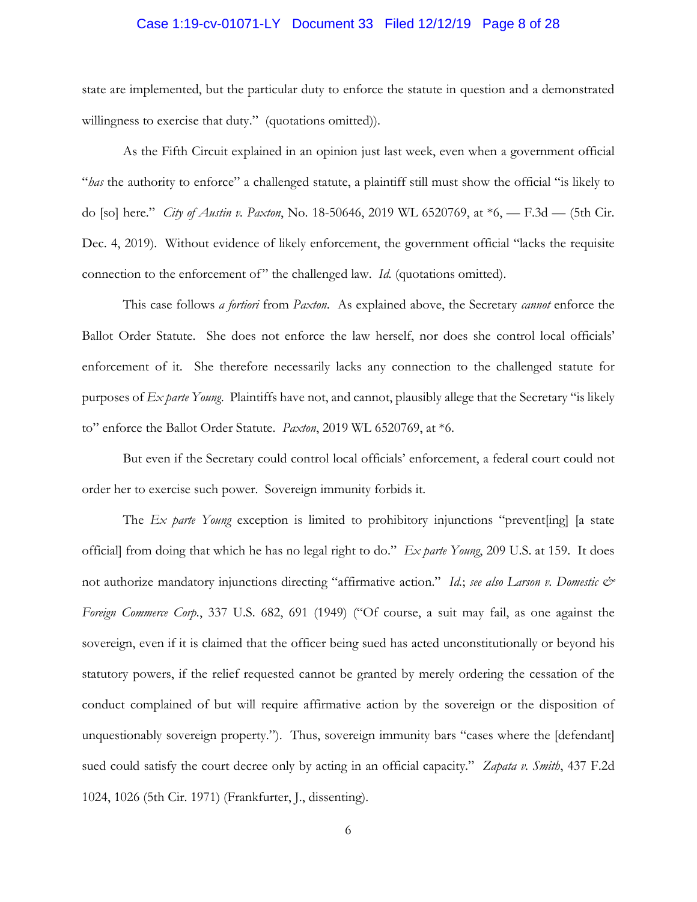### Case 1:19-cv-01071-LY Document 33 Filed 12/12/19 Page 8 of 28

state are implemented, but the particular duty to enforce the statute in question and a demonstrated willingness to exercise that duty." (quotations omitted)).

As the Fifth Circuit explained in an opinion just last week, even when a government official "*has* the authority to enforce" a challenged statute, a plaintiff still must show the official "is likely to do [so] here." *City of Austin v. Paxton*, No. 18-50646, 2019 WL 6520769, at \*6, — F.3d — (5th Cir. Dec. 4, 2019). Without evidence of likely enforcement, the government official "lacks the requisite connection to the enforcement of" the challenged law. *Id.* (quotations omitted).

This case follows *a fortiori* from *Paxton*. As explained above, the Secretary *cannot* enforce the Ballot Order Statute. She does not enforce the law herself, nor does she control local officials' enforcement of it. She therefore necessarily lacks any connection to the challenged statute for purposes of *Ex parte Young*. Plaintiffs have not, and cannot, plausibly allege that the Secretary "is likely to" enforce the Ballot Order Statute. *Paxton*, 2019 WL 6520769, at \*6.

But even if the Secretary could control local officials' enforcement, a federal court could not order her to exercise such power. Sovereign immunity forbids it.

The *Ex parte Young* exception is limited to prohibitory injunctions "prevent[ing] [a state official] from doing that which he has no legal right to do." *Ex parte Young*, 209 U.S. at 159. It does not authorize mandatory injunctions directing "affirmative action." *Id.*; *see also Larson v. Domestic & Foreign Commerce Corp.*, 337 U.S. 682, 691 (1949) ("Of course, a suit may fail, as one against the sovereign, even if it is claimed that the officer being sued has acted unconstitutionally or beyond his statutory powers, if the relief requested cannot be granted by merely ordering the cessation of the conduct complained of but will require affirmative action by the sovereign or the disposition of unquestionably sovereign property."). Thus, sovereign immunity bars "cases where the [defendant] sued could satisfy the court decree only by acting in an official capacity." *Zapata v. Smith*, 437 F.2d 1024, 1026 (5th Cir. 1971) (Frankfurter, J., dissenting).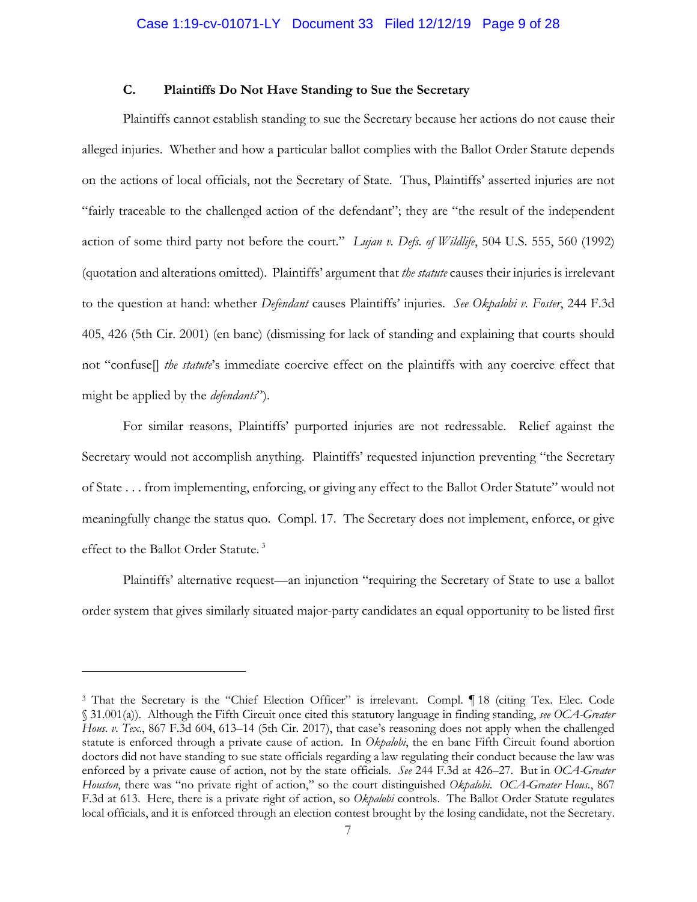# **C. Plaintiffs Do Not Have Standing to Sue the Secretary**

Plaintiffs cannot establish standing to sue the Secretary because her actions do not cause their alleged injuries. Whether and how a particular ballot complies with the Ballot Order Statute depends on the actions of local officials, not the Secretary of State. Thus, Plaintiffs' asserted injuries are not "fairly traceable to the challenged action of the defendant"; they are "the result of the independent action of some third party not before the court." *Lujan v. Defs. of Wildlife*, 504 U.S. 555, 560 (1992) (quotation and alterations omitted). Plaintiffs' argument that *the statute* causes their injuries is irrelevant to the question at hand: whether *Defendant* causes Plaintiffs' injuries. *See Okpalobi v. Foster*, 244 F.3d 405, 426 (5th Cir. 2001) (en banc) (dismissing for lack of standing and explaining that courts should not "confuse[] *the statute*'s immediate coercive effect on the plaintiffs with any coercive effect that might be applied by the *defendants*").

For similar reasons, Plaintiffs' purported injuries are not redressable. Relief against the Secretary would not accomplish anything. Plaintiffs' requested injunction preventing "the Secretary of State . . . from implementing, enforcing, or giving any effect to the Ballot Order Statute" would not meaningfully change the status quo. Compl. 17. The Secretary does not implement, enforce, or give effect to the Ballot Order Statute. <sup>3</sup>

Plaintiffs' alternative request—an injunction "requiring the Secretary of State to use a ballot order system that gives similarly situated major-party candidates an equal opportunity to be listed first

 $\overline{a}$ 

<sup>3</sup> That the Secretary is the "Chief Election Officer" is irrelevant. Compl. ¶ 18 (citing Tex. Elec. Code § 31.001(a)). Although the Fifth Circuit once cited this statutory language in finding standing, *see OCA-Greater Hous. v. Tex.*, 867 F.3d 604, 613–14 (5th Cir. 2017), that case's reasoning does not apply when the challenged statute is enforced through a private cause of action. In *Okpalobi*, the en banc Fifth Circuit found abortion doctors did not have standing to sue state officials regarding a law regulating their conduct because the law was enforced by a private cause of action, not by the state officials. *See* 244 F.3d at 426–27. But in *OCA-Greater Houston*, there was "no private right of action," so the court distinguished *Okpalobi*. *OCA-Greater Hous.*, 867 F.3d at 613. Here, there is a private right of action, so *Okpalobi* controls. The Ballot Order Statute regulates local officials, and it is enforced through an election contest brought by the losing candidate, not the Secretary.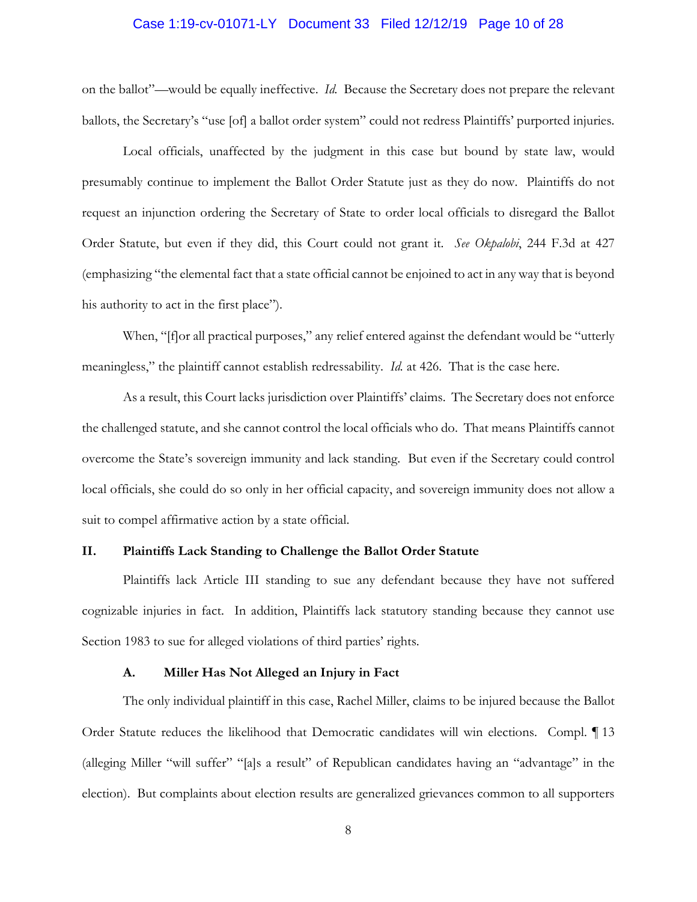# Case 1:19-cv-01071-LY Document 33 Filed 12/12/19 Page 10 of 28

on the ballot"—would be equally ineffective. *Id.* Because the Secretary does not prepare the relevant ballots, the Secretary's "use [of] a ballot order system" could not redress Plaintiffs' purported injuries.

Local officials, unaffected by the judgment in this case but bound by state law, would presumably continue to implement the Ballot Order Statute just as they do now. Plaintiffs do not request an injunction ordering the Secretary of State to order local officials to disregard the Ballot Order Statute, but even if they did, this Court could not grant it. *See Okpalobi*, 244 F.3d at 427 (emphasizing "the elemental fact that a state official cannot be enjoined to act in any way that is beyond his authority to act in the first place").

When, "[f]or all practical purposes," any relief entered against the defendant would be "utterly meaningless," the plaintiff cannot establish redressability. *Id.* at 426. That is the case here.

As a result, this Court lacks jurisdiction over Plaintiffs' claims. The Secretary does not enforce the challenged statute, and she cannot control the local officials who do. That means Plaintiffs cannot overcome the State's sovereign immunity and lack standing. But even if the Secretary could control local officials, she could do so only in her official capacity, and sovereign immunity does not allow a suit to compel affirmative action by a state official.

# **II. Plaintiffs Lack Standing to Challenge the Ballot Order Statute**

Plaintiffs lack Article III standing to sue any defendant because they have not suffered cognizable injuries in fact. In addition, Plaintiffs lack statutory standing because they cannot use Section 1983 to sue for alleged violations of third parties' rights.

#### **A. Miller Has Not Alleged an Injury in Fact**

The only individual plaintiff in this case, Rachel Miller, claims to be injured because the Ballot Order Statute reduces the likelihood that Democratic candidates will win elections. Compl. ¶ 13 (alleging Miller "will suffer" "[a]s a result" of Republican candidates having an "advantage" in the election). But complaints about election results are generalized grievances common to all supporters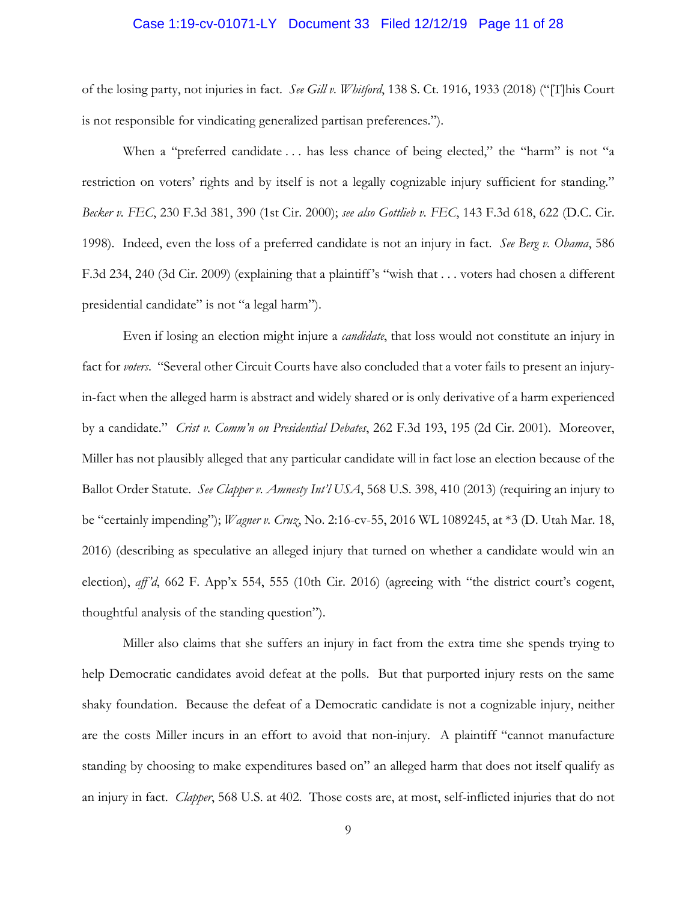### Case 1:19-cv-01071-LY Document 33 Filed 12/12/19 Page 11 of 28

of the losing party, not injuries in fact. *See Gill v. Whitford*, 138 S. Ct. 1916, 1933 (2018) ("[T]his Court is not responsible for vindicating generalized partisan preferences.").

When a "preferred candidate ... has less chance of being elected," the "harm" is not "a restriction on voters' rights and by itself is not a legally cognizable injury sufficient for standing." *Becker v. FEC*, 230 F.3d 381, 390 (1st Cir. 2000); *see also Gottlieb v. FEC*, 143 F.3d 618, 622 (D.C. Cir. 1998). Indeed, even the loss of a preferred candidate is not an injury in fact. *See Berg v. Obama*, 586 F.3d 234, 240 (3d Cir. 2009) (explaining that a plaintiff's "wish that . . . voters had chosen a different presidential candidate" is not "a legal harm").

Even if losing an election might injure a *candidate*, that loss would not constitute an injury in fact for *voters*. "Several other Circuit Courts have also concluded that a voter fails to present an injuryin-fact when the alleged harm is abstract and widely shared or is only derivative of a harm experienced by a candidate." *Crist v. Comm'n on Presidential Debates*, 262 F.3d 193, 195 (2d Cir. 2001). Moreover, Miller has not plausibly alleged that any particular candidate will in fact lose an election because of the Ballot Order Statute. *See Clapper v. Amnesty Int'l USA*, 568 U.S. 398, 410 (2013) (requiring an injury to be "certainly impending"); *Wagner v. Cruz*, No. 2:16-cv-55, 2016 WL 1089245, at \*3 (D. Utah Mar. 18, 2016) (describing as speculative an alleged injury that turned on whether a candidate would win an election), *aff 'd*, 662 F. App'x 554, 555 (10th Cir. 2016) (agreeing with "the district court's cogent, thoughtful analysis of the standing question").

Miller also claims that she suffers an injury in fact from the extra time she spends trying to help Democratic candidates avoid defeat at the polls. But that purported injury rests on the same shaky foundation. Because the defeat of a Democratic candidate is not a cognizable injury, neither are the costs Miller incurs in an effort to avoid that non-injury. A plaintiff "cannot manufacture standing by choosing to make expenditures based on" an alleged harm that does not itself qualify as an injury in fact. *Clapper*, 568 U.S. at 402. Those costs are, at most, self-inflicted injuries that do not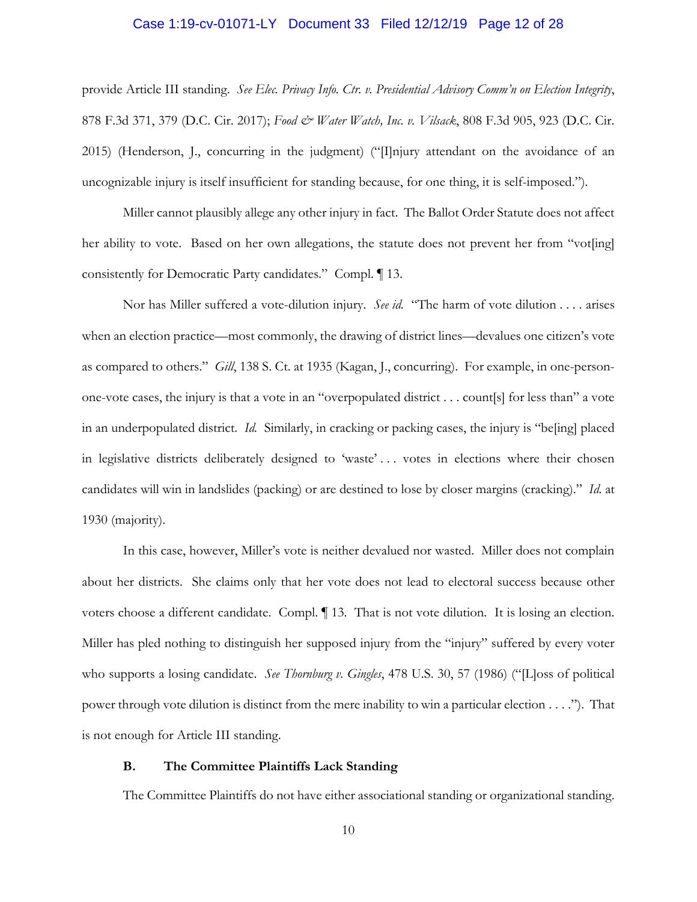### Case 1:19-cv-01071-LY Document 33 Filed 12/12/19 Page 12 of 28

provide Article III standing. *See Elec. Privacy Info. Ctr. v. Presidential Advisory Comm'n on Election Integrity*, 878 F.3d 371, 379 (D.C. Cir. 2017); *Food & Water Watch, Inc. v. Vilsack*, 808 F.3d 905, 923 (D.C. Cir. 2015) (Henderson, J., concurring in the judgment) ("[I]njury attendant on the avoidance of an uncognizable injury is itself insufficient for standing because, for one thing, it is self-imposed.").

Miller cannot plausibly allege any other injury in fact. The Ballot Order Statute does not affect her ability to vote. Based on her own allegations, the statute does not prevent her from "vot[ing] consistently for Democratic Party candidates." Compl. ¶ 13.

Nor has Miller suffered a vote-dilution injury. *See id.* "The harm of vote dilution . . . . arises when an election practice—most commonly, the drawing of district lines—devalues one citizen's vote as compared to others." *Gill*, 138 S. Ct. at 1935 (Kagan, J., concurring). For example, in one-personone-vote cases, the injury is that a vote in an "overpopulated district . . . count[s] for less than" a vote in an underpopulated district. *Id.* Similarly, in cracking or packing cases, the injury is "be[ing] placed in legislative districts deliberately designed to 'waste' . . . votes in elections where their chosen candidates will win in landslides (packing) or are destined to lose by closer margins (cracking)." *Id.* at 1930 (majority).

In this case, however, Miller's vote is neither devalued nor wasted. Miller does not complain about her districts. She claims only that her vote does not lead to electoral success because other voters choose a different candidate. Compl. ¶ 13. That is not vote dilution. It is losing an election. Miller has pled nothing to distinguish her supposed injury from the "injury" suffered by every voter who supports a losing candidate. *See Thornburg v. Gingles*, 478 U.S. 30, 57 (1986) ("[L]oss of political power through vote dilution is distinct from the mere inability to win a particular election . . . ."). That is not enough for Article III standing.

### **B. The Committee Plaintiffs Lack Standing**

The Committee Plaintiffs do not have either associational standing or organizational standing.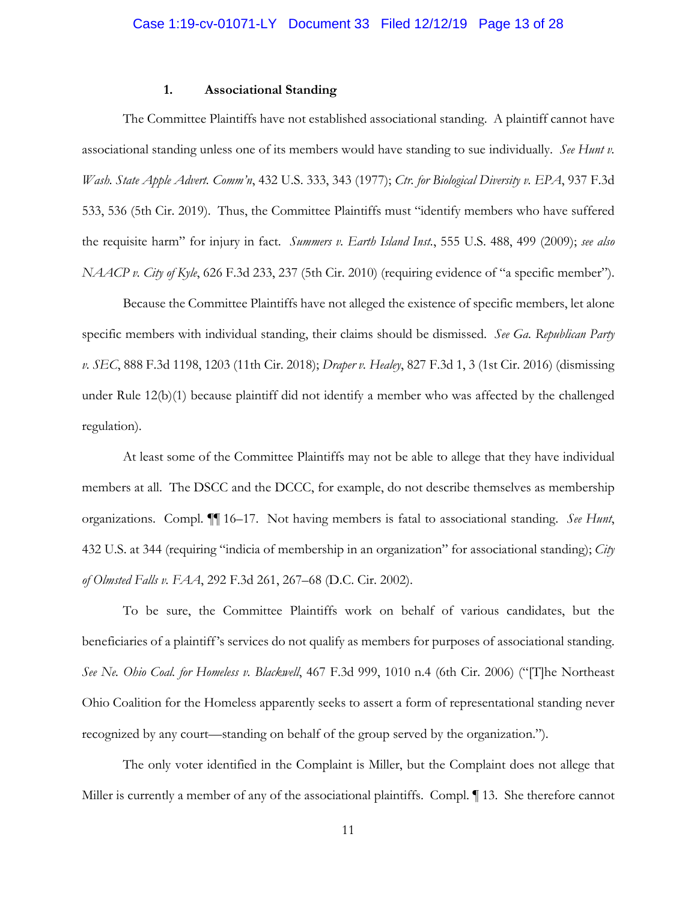# **1. Associational Standing**

The Committee Plaintiffs have not established associational standing. A plaintiff cannot have associational standing unless one of its members would have standing to sue individually. *See Hunt v. Wash. State Apple Advert. Comm'n*, 432 U.S. 333, 343 (1977); *Ctr. for Biological Diversity v. EPA*, 937 F.3d 533, 536 (5th Cir. 2019). Thus, the Committee Plaintiffs must "identify members who have suffered the requisite harm" for injury in fact. *Summers v. Earth Island Inst.*, 555 U.S. 488, 499 (2009); *see also NAACP v. City of Kyle*, 626 F.3d 233, 237 (5th Cir. 2010) (requiring evidence of "a specific member").

Because the Committee Plaintiffs have not alleged the existence of specific members, let alone specific members with individual standing, their claims should be dismissed. *See Ga. Republican Party v. SEC*, 888 F.3d 1198, 1203 (11th Cir. 2018); *Draper v. Healey*, 827 F.3d 1, 3 (1st Cir. 2016) (dismissing under Rule 12(b)(1) because plaintiff did not identify a member who was affected by the challenged regulation).

At least some of the Committee Plaintiffs may not be able to allege that they have individual members at all. The DSCC and the DCCC, for example, do not describe themselves as membership organizations. Compl. ¶¶ 16–17. Not having members is fatal to associational standing. *See Hunt*, 432 U.S. at 344 (requiring "indicia of membership in an organization" for associational standing); *City of Olmsted Falls v. FAA*, 292 F.3d 261, 267–68 (D.C. Cir. 2002).

To be sure, the Committee Plaintiffs work on behalf of various candidates, but the beneficiaries of a plaintiff's services do not qualify as members for purposes of associational standing. *See Ne. Ohio Coal. for Homeless v. Blackwell*, 467 F.3d 999, 1010 n.4 (6th Cir. 2006) ("[T]he Northeast Ohio Coalition for the Homeless apparently seeks to assert a form of representational standing never recognized by any court—standing on behalf of the group served by the organization.").

The only voter identified in the Complaint is Miller, but the Complaint does not allege that Miller is currently a member of any of the associational plaintiffs. Compl.  $\P$  13. She therefore cannot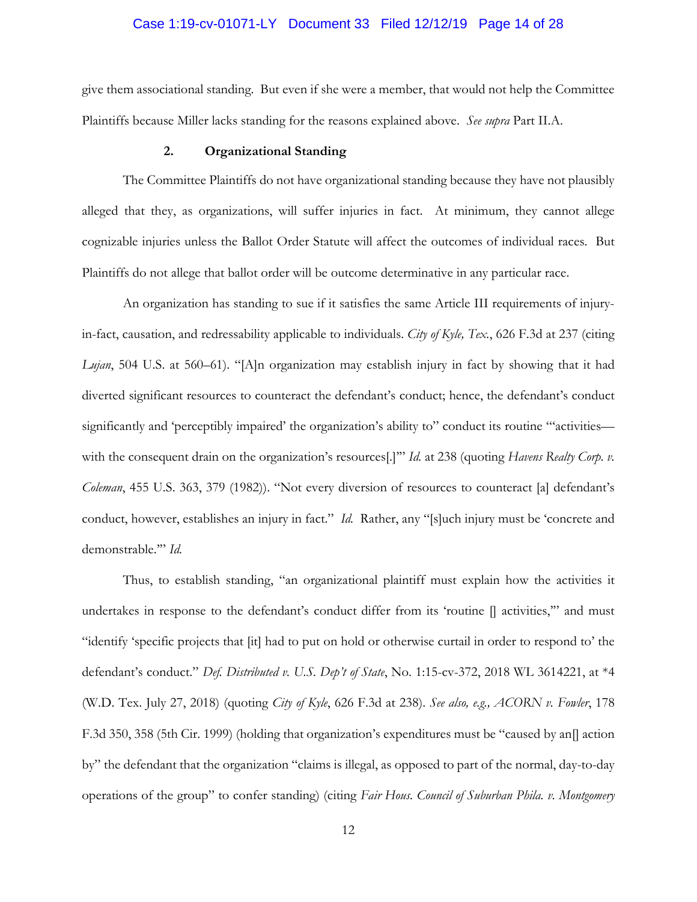### Case 1:19-cv-01071-LY Document 33 Filed 12/12/19 Page 14 of 28

give them associational standing. But even if she were a member, that would not help the Committee Plaintiffs because Miller lacks standing for the reasons explained above. *See supra* Part II.A.

### **2. Organizational Standing**

The Committee Plaintiffs do not have organizational standing because they have not plausibly alleged that they, as organizations, will suffer injuries in fact. At minimum, they cannot allege cognizable injuries unless the Ballot Order Statute will affect the outcomes of individual races. But Plaintiffs do not allege that ballot order will be outcome determinative in any particular race.

An organization has standing to sue if it satisfies the same Article III requirements of injuryin-fact, causation, and redressability applicable to individuals. *City of Kyle, Tex.*, 626 F.3d at 237 (citing *Lujan*, 504 U.S. at 560–61). "[A]n organization may establish injury in fact by showing that it had diverted significant resources to counteract the defendant's conduct; hence, the defendant's conduct significantly and 'perceptibly impaired' the organization's ability to" conduct its routine ""activities with the consequent drain on the organization's resources<sup>[.]""</sup> *Id.* at 238 (quoting *Havens Realty Corp. v. Coleman*, 455 U.S. 363, 379 (1982)). "Not every diversion of resources to counteract [a] defendant's conduct, however, establishes an injury in fact." *Id.* Rather, any "[s]uch injury must be 'concrete and demonstrable.'" *Id.*

Thus, to establish standing, "an organizational plaintiff must explain how the activities it undertakes in response to the defendant's conduct differ from its 'routine  $\parallel$  activities," and must "identify 'specific projects that [it] had to put on hold or otherwise curtail in order to respond to' the defendant's conduct." *Def. Distributed v. U.S. Dep't of State*, No. 1:15-cv-372, 2018 WL 3614221, at \*4 (W.D. Tex. July 27, 2018) (quoting *City of Kyle*, 626 F.3d at 238). *See also, e.g., ACORN v. Fowler*, 178 F.3d 350, 358 (5th Cir. 1999) (holding that organization's expenditures must be "caused by an[] action by" the defendant that the organization "claims is illegal, as opposed to part of the normal, day-to-day operations of the group" to confer standing) (citing *Fair Hous. Council of Suburban Phila. v. Montgomery*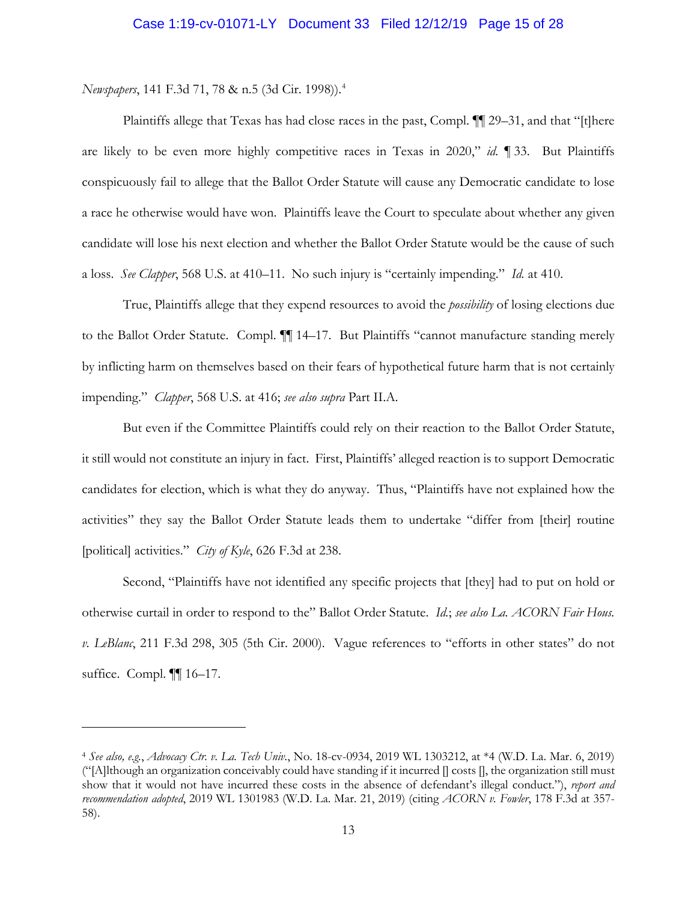*Newspapers*, 141 F.3d 71, 78 & n.5 (3d Cir. 1998)).4

 $\overline{a}$ 

Plaintiffs allege that Texas has had close races in the past, Compl. ¶¶ 29–31, and that "[t]here are likely to be even more highly competitive races in Texas in 2020," *id.* ¶ 33. But Plaintiffs conspicuously fail to allege that the Ballot Order Statute will cause any Democratic candidate to lose a race he otherwise would have won. Plaintiffs leave the Court to speculate about whether any given candidate will lose his next election and whether the Ballot Order Statute would be the cause of such a loss. *See Clapper*, 568 U.S. at 410–11. No such injury is "certainly impending." *Id.* at 410.

True, Plaintiffs allege that they expend resources to avoid the *possibility* of losing elections due to the Ballot Order Statute. Compl. ¶¶ 14–17. But Plaintiffs "cannot manufacture standing merely by inflicting harm on themselves based on their fears of hypothetical future harm that is not certainly impending." *Clapper*, 568 U.S. at 416; *see also supra* Part II.A.

But even if the Committee Plaintiffs could rely on their reaction to the Ballot Order Statute, it still would not constitute an injury in fact. First, Plaintiffs' alleged reaction is to support Democratic candidates for election, which is what they do anyway. Thus, "Plaintiffs have not explained how the activities" they say the Ballot Order Statute leads them to undertake "differ from [their] routine [political] activities." *City of Kyle*, 626 F.3d at 238.

Second, "Plaintiffs have not identified any specific projects that [they] had to put on hold or otherwise curtail in order to respond to the" Ballot Order Statute. *Id.*; *see also La. ACORN Fair Hous. v. LeBlanc*, 211 F.3d 298, 305 (5th Cir. 2000). Vague references to "efforts in other states" do not suffice. Compl. ¶¶ 16–17.

<sup>4</sup> *See also, e.g.*, *Advocacy Ctr. v. La. Tech Univ.*, No. 18-cv-0934, 2019 WL 1303212, at \*4 (W.D. La. Mar. 6, 2019) ("[A]lthough an organization conceivably could have standing if it incurred [] costs [], the organization still must show that it would not have incurred these costs in the absence of defendant's illegal conduct."), *report and recommendation adopted*, 2019 WL 1301983 (W.D. La. Mar. 21, 2019) (citing *ACORN v. Fowler*, 178 F.3d at 357- 58).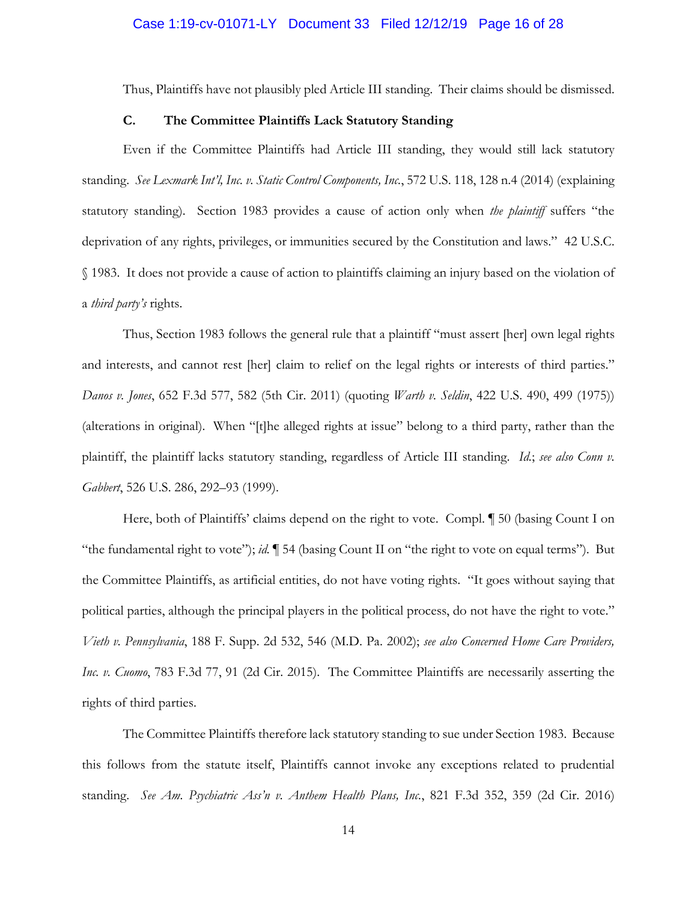Thus, Plaintiffs have not plausibly pled Article III standing. Their claims should be dismissed.

# **C. The Committee Plaintiffs Lack Statutory Standing**

Even if the Committee Plaintiffs had Article III standing, they would still lack statutory standing. *See Lexmark Int'l, Inc. v. Static Control Components, Inc.*, 572 U.S. 118, 128 n.4 (2014) (explaining statutory standing). Section 1983 provides a cause of action only when *the plaintiff* suffers "the deprivation of any rights, privileges, or immunities secured by the Constitution and laws." 42 U.S.C. § 1983. It does not provide a cause of action to plaintiffs claiming an injury based on the violation of a *third party's* rights.

Thus, Section 1983 follows the general rule that a plaintiff "must assert [her] own legal rights and interests, and cannot rest [her] claim to relief on the legal rights or interests of third parties." *Danos v. Jones*, 652 F.3d 577, 582 (5th Cir. 2011) (quoting *Warth v. Seldin*, 422 U.S. 490, 499 (1975)) (alterations in original). When "[t]he alleged rights at issue" belong to a third party, rather than the plaintiff, the plaintiff lacks statutory standing, regardless of Article III standing. *Id.*; *see also Conn v. Gabbert*, 526 U.S. 286, 292–93 (1999).

Here, both of Plaintiffs' claims depend on the right to vote. Compl. ¶ 50 (basing Count I on "the fundamental right to vote"); *id.* ¶ 54 (basing Count II on "the right to vote on equal terms"). But the Committee Plaintiffs, as artificial entities, do not have voting rights. "It goes without saying that political parties, although the principal players in the political process, do not have the right to vote." *Vieth v. Pennsylvania*, 188 F. Supp. 2d 532, 546 (M.D. Pa. 2002); *see also Concerned Home Care Providers, Inc. v. Cuomo*, 783 F.3d 77, 91 (2d Cir. 2015). The Committee Plaintiffs are necessarily asserting the rights of third parties.

The Committee Plaintiffs therefore lack statutory standing to sue under Section 1983. Because this follows from the statute itself, Plaintiffs cannot invoke any exceptions related to prudential standing. *See Am. Psychiatric Ass'n v. Anthem Health Plans, Inc.*, 821 F.3d 352, 359 (2d Cir. 2016)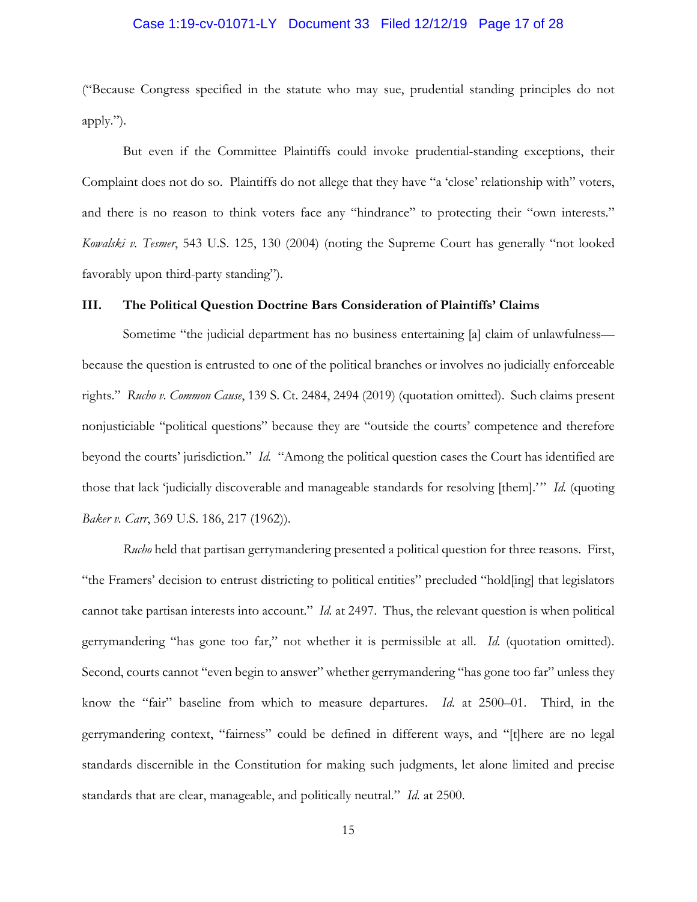# Case 1:19-cv-01071-LY Document 33 Filed 12/12/19 Page 17 of 28

("Because Congress specified in the statute who may sue, prudential standing principles do not apply.").

But even if the Committee Plaintiffs could invoke prudential-standing exceptions, their Complaint does not do so. Plaintiffs do not allege that they have "a 'close' relationship with" voters, and there is no reason to think voters face any "hindrance" to protecting their "own interests." *Kowalski v. Tesmer*, 543 U.S. 125, 130 (2004) (noting the Supreme Court has generally "not looked favorably upon third-party standing").

# **III. The Political Question Doctrine Bars Consideration of Plaintiffs' Claims**

Sometime "the judicial department has no business entertaining [a] claim of unlawfulness because the question is entrusted to one of the political branches or involves no judicially enforceable rights." *Rucho v. Common Cause*, 139 S. Ct. 2484, 2494 (2019) (quotation omitted). Such claims present nonjusticiable "political questions" because they are "outside the courts' competence and therefore beyond the courts' jurisdiction." *Id.* "Among the political question cases the Court has identified are those that lack 'judicially discoverable and manageable standards for resolving [them].'" *Id.* (quoting *Baker v. Carr*, 369 U.S. 186, 217 (1962)).

*Rucho* held that partisan gerrymandering presented a political question for three reasons. First, "the Framers' decision to entrust districting to political entities" precluded "hold[ing] that legislators cannot take partisan interests into account." *Id.* at 2497. Thus, the relevant question is when political gerrymandering "has gone too far," not whether it is permissible at all. *Id.* (quotation omitted). Second, courts cannot "even begin to answer" whether gerrymandering "has gone too far" unless they know the "fair" baseline from which to measure departures. *Id.* at 2500–01. Third, in the gerrymandering context, "fairness" could be defined in different ways, and "[t]here are no legal standards discernible in the Constitution for making such judgments, let alone limited and precise standards that are clear, manageable, and politically neutral." *Id.* at 2500.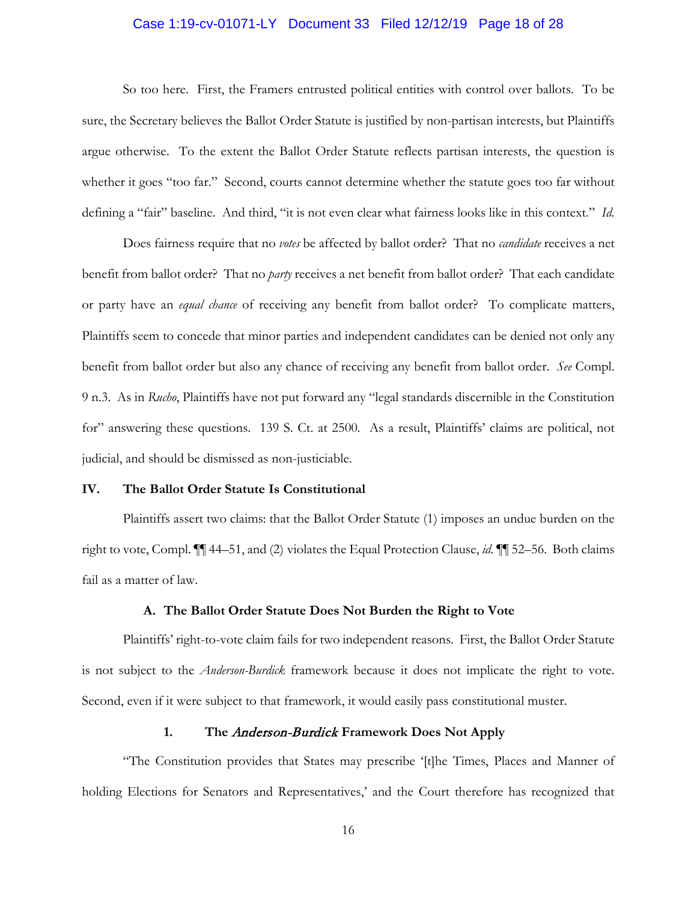# Case 1:19-cv-01071-LY Document 33 Filed 12/12/19 Page 18 of 28

So too here. First, the Framers entrusted political entities with control over ballots. To be sure, the Secretary believes the Ballot Order Statute is justified by non-partisan interests, but Plaintiffs argue otherwise. To the extent the Ballot Order Statute reflects partisan interests, the question is whether it goes "too far." Second, courts cannot determine whether the statute goes too far without defining a "fair" baseline. And third, "it is not even clear what fairness looks like in this context." *Id.*

Does fairness require that no *votes* be affected by ballot order? That no *candidate* receives a net benefit from ballot order? That no *party* receives a net benefit from ballot order? That each candidate or party have an *equal chance* of receiving any benefit from ballot order? To complicate matters, Plaintiffs seem to concede that minor parties and independent candidates can be denied not only any benefit from ballot order but also any chance of receiving any benefit from ballot order. *See* Compl. 9 n.3. As in *Rucho*, Plaintiffs have not put forward any "legal standards discernible in the Constitution for" answering these questions. 139 S. Ct. at 2500*.* As a result, Plaintiffs' claims are political, not judicial, and should be dismissed as non-justiciable.

# **IV. The Ballot Order Statute Is Constitutional**

Plaintiffs assert two claims: that the Ballot Order Statute (1) imposes an undue burden on the right to vote, Compl. ¶¶ 44–51, and (2) violates the Equal Protection Clause, *id.* ¶¶ 52–56. Both claims fail as a matter of law.

# **A. The Ballot Order Statute Does Not Burden the Right to Vote**

Plaintiffs' right-to-vote claim fails for two independent reasons. First, the Ballot Order Statute is not subject to the *Anderson-Burdick* framework because it does not implicate the right to vote. Second, even if it were subject to that framework, it would easily pass constitutional muster.

# **1. The** Anderson-Burdick **Framework Does Not Apply**

"The Constitution provides that States may prescribe '[t]he Times, Places and Manner of holding Elections for Senators and Representatives,' and the Court therefore has recognized that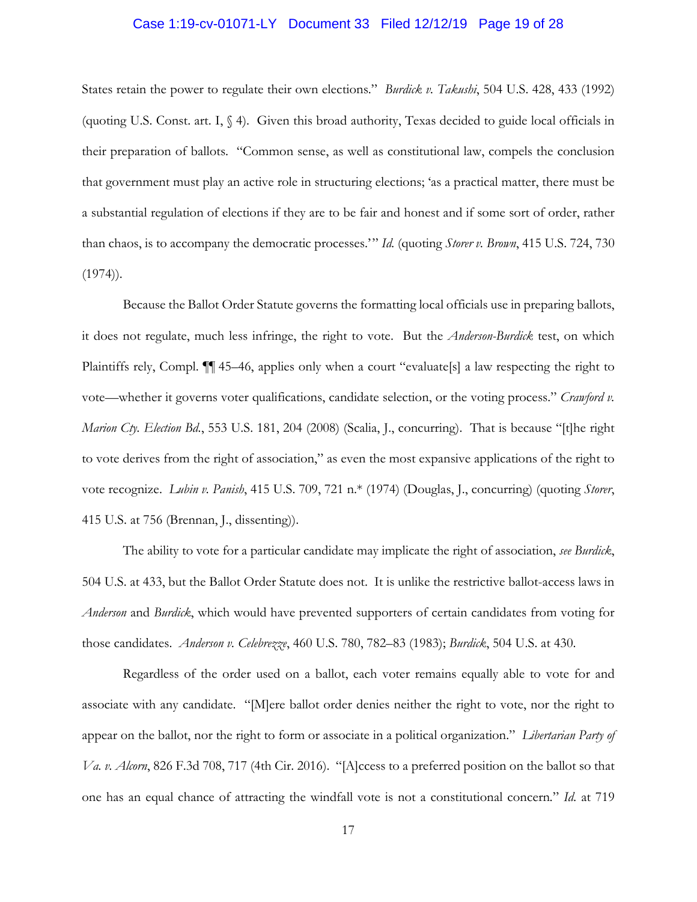### Case 1:19-cv-01071-LY Document 33 Filed 12/12/19 Page 19 of 28

States retain the power to regulate their own elections." *Burdick v. Takushi*, 504 U.S. 428, 433 (1992) (quoting U.S. Const. art. I, § 4). Given this broad authority, Texas decided to guide local officials in their preparation of ballots. "Common sense, as well as constitutional law, compels the conclusion that government must play an active role in structuring elections; 'as a practical matter, there must be a substantial regulation of elections if they are to be fair and honest and if some sort of order, rather than chaos, is to accompany the democratic processes.'" *Id.* (quoting *Storer v. Brown*, 415 U.S. 724, 730  $(1974)$ .

Because the Ballot Order Statute governs the formatting local officials use in preparing ballots, it does not regulate, much less infringe, the right to vote. But the *Anderson-Burdick* test, on which Plaintiffs rely, Compl. ¶¶ 45–46, applies only when a court "evaluate[s] a law respecting the right to vote—whether it governs voter qualifications, candidate selection, or the voting process." *Crawford v. Marion Cty. Election Bd.*, 553 U.S. 181, 204 (2008) (Scalia, J., concurring). That is because "[t]he right to vote derives from the right of association," as even the most expansive applications of the right to vote recognize. *Lubin v. Panish*, 415 U.S. 709, 721 n.\* (1974) (Douglas, J., concurring) (quoting *Storer*, 415 U.S. at 756 (Brennan, J., dissenting)).

The ability to vote for a particular candidate may implicate the right of association, *see Burdick*, 504 U.S. at 433, but the Ballot Order Statute does not. It is unlike the restrictive ballot-access laws in *Anderson* and *Burdick*, which would have prevented supporters of certain candidates from voting for those candidates. *Anderson v. Celebrezze*, 460 U.S. 780, 782–83 (1983); *Burdick*, 504 U.S. at 430.

Regardless of the order used on a ballot, each voter remains equally able to vote for and associate with any candidate. "[M]ere ballot order denies neither the right to vote, nor the right to appear on the ballot, nor the right to form or associate in a political organization." *Libertarian Party of Va. v. Alcorn*, 826 F.3d 708, 717 (4th Cir. 2016). "[A]ccess to a preferred position on the ballot so that one has an equal chance of attracting the windfall vote is not a constitutional concern*.*" *Id.* at 719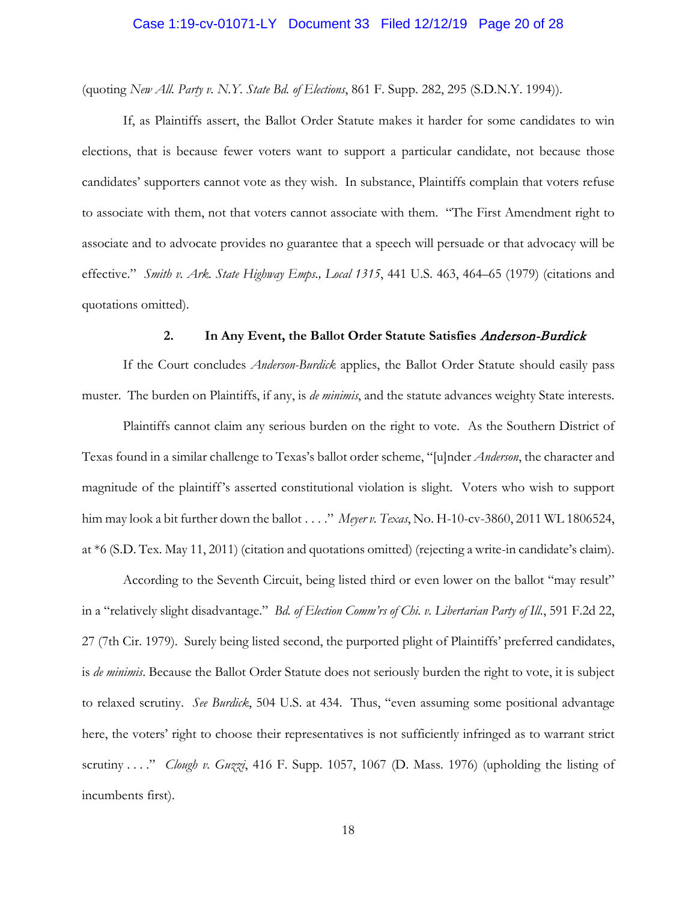(quoting *New All. Party v. N.Y. State Bd. of Elections*, 861 F. Supp. 282, 295 (S.D.N.Y. 1994)).

If, as Plaintiffs assert, the Ballot Order Statute makes it harder for some candidates to win elections, that is because fewer voters want to support a particular candidate, not because those candidates' supporters cannot vote as they wish. In substance, Plaintiffs complain that voters refuse to associate with them, not that voters cannot associate with them. "The First Amendment right to associate and to advocate provides no guarantee that a speech will persuade or that advocacy will be effective." *Smith v. Ark. State Highway Emps., Local 1315*, 441 U.S. 463, 464–65 (1979) (citations and quotations omitted).

# **2. In Any Event, the Ballot Order Statute Satisfies** Anderson-Burdick

If the Court concludes *Anderson-Burdick* applies, the Ballot Order Statute should easily pass muster. The burden on Plaintiffs, if any, is *de minimis*, and the statute advances weighty State interests.

Plaintiffs cannot claim any serious burden on the right to vote. As the Southern District of Texas found in a similar challenge to Texas's ballot order scheme, "[u]nder *Anderson*, the character and magnitude of the plaintiff's asserted constitutional violation is slight. Voters who wish to support him may look a bit further down the ballot . . . ." *Meyer v. Texas*, No. H-10-cv-3860, 2011 WL 1806524, at \*6 (S.D. Tex. May 11, 2011) (citation and quotations omitted) (rejecting a write-in candidate's claim).

According to the Seventh Circuit, being listed third or even lower on the ballot "may result" in a "relatively slight disadvantage." *Bd. of Election Comm'rs of Chi. v. Libertarian Party of Ill.*, 591 F.2d 22, 27 (7th Cir. 1979). Surely being listed second, the purported plight of Plaintiffs' preferred candidates, is *de minimis*. Because the Ballot Order Statute does not seriously burden the right to vote, it is subject to relaxed scrutiny. *See Burdick*, 504 U.S. at 434. Thus, "even assuming some positional advantage here, the voters' right to choose their representatives is not sufficiently infringed as to warrant strict scrutiny . . . ." *Clough v. Guzzi*, 416 F. Supp. 1057, 1067 (D. Mass. 1976) (upholding the listing of incumbents first).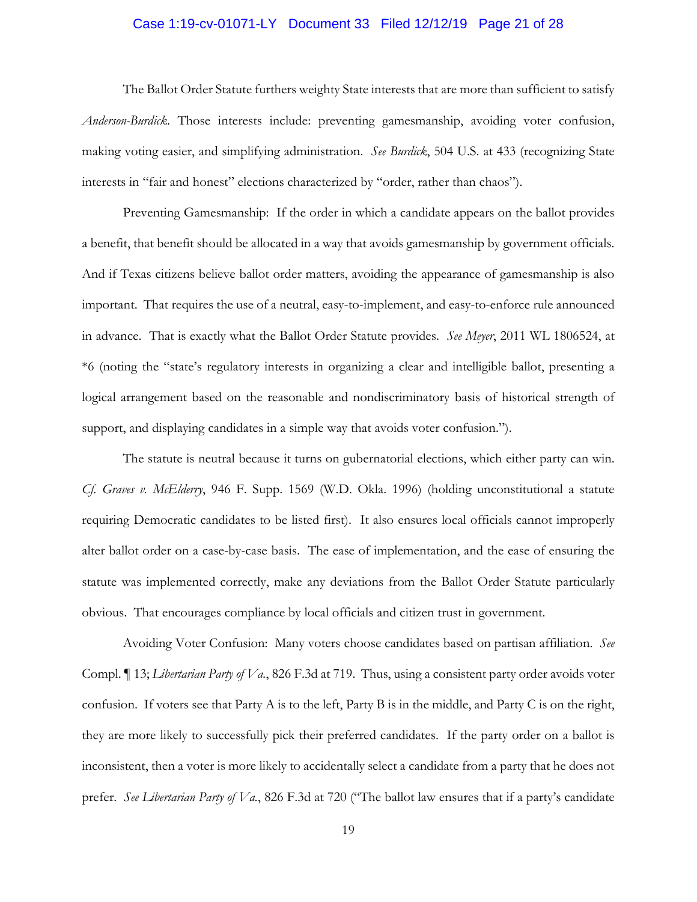### Case 1:19-cv-01071-LY Document 33 Filed 12/12/19 Page 21 of 28

The Ballot Order Statute furthers weighty State interests that are more than sufficient to satisfy *Anderson-Burdick*. Those interests include: preventing gamesmanship, avoiding voter confusion, making voting easier, and simplifying administration. *See Burdick*, 504 U.S. at 433 (recognizing State interests in "fair and honest" elections characterized by "order, rather than chaos").

Preventing Gamesmanship: If the order in which a candidate appears on the ballot provides a benefit, that benefit should be allocated in a way that avoids gamesmanship by government officials. And if Texas citizens believe ballot order matters, avoiding the appearance of gamesmanship is also important. That requires the use of a neutral, easy-to-implement, and easy-to-enforce rule announced in advance. That is exactly what the Ballot Order Statute provides. *See Meyer*, 2011 WL 1806524, at \*6 (noting the "state's regulatory interests in organizing a clear and intelligible ballot, presenting a logical arrangement based on the reasonable and nondiscriminatory basis of historical strength of support, and displaying candidates in a simple way that avoids voter confusion.").

The statute is neutral because it turns on gubernatorial elections, which either party can win. *Cf. Graves v. McElderry*, 946 F. Supp. 1569 (W.D. Okla. 1996) (holding unconstitutional a statute requiring Democratic candidates to be listed first). It also ensures local officials cannot improperly alter ballot order on a case-by-case basis. The ease of implementation, and the ease of ensuring the statute was implemented correctly, make any deviations from the Ballot Order Statute particularly obvious. That encourages compliance by local officials and citizen trust in government.

Avoiding Voter Confusion: Many voters choose candidates based on partisan affiliation. *See* Compl. ¶ 13; *Libertarian Party of Va.*, 826 F.3d at 719. Thus, using a consistent party order avoids voter confusion. If voters see that Party A is to the left, Party B is in the middle, and Party C is on the right, they are more likely to successfully pick their preferred candidates. If the party order on a ballot is inconsistent, then a voter is more likely to accidentally select a candidate from a party that he does not prefer. *See Libertarian Party of Va.*, 826 F.3d at 720 ("The ballot law ensures that if a party's candidate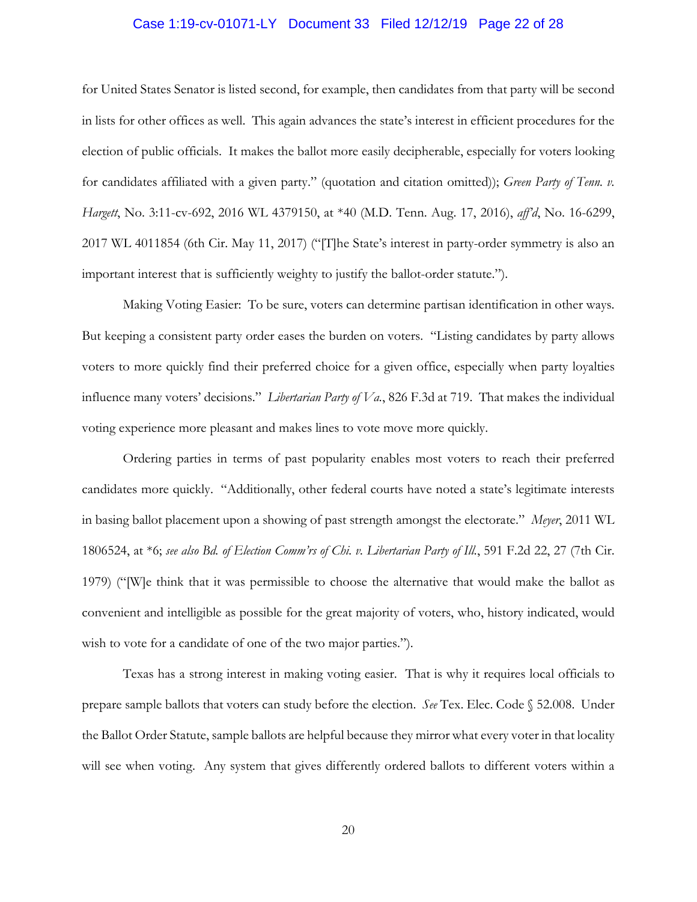### Case 1:19-cv-01071-LY Document 33 Filed 12/12/19 Page 22 of 28

for United States Senator is listed second, for example, then candidates from that party will be second in lists for other offices as well. This again advances the state's interest in efficient procedures for the election of public officials. It makes the ballot more easily decipherable, especially for voters looking for candidates affiliated with a given party." (quotation and citation omitted)); *Green Party of Tenn. v. Hargett*, No. 3:11-cv-692, 2016 WL 4379150, at \*40 (M.D. Tenn. Aug. 17, 2016), *aff'd*, No. 16-6299, 2017 WL 4011854 (6th Cir. May 11, 2017) ("[T]he State's interest in party-order symmetry is also an important interest that is sufficiently weighty to justify the ballot-order statute.").

Making Voting Easier: To be sure, voters can determine partisan identification in other ways. But keeping a consistent party order eases the burden on voters. "Listing candidates by party allows voters to more quickly find their preferred choice for a given office, especially when party loyalties influence many voters' decisions." *Libertarian Party of Va.*, 826 F.3d at 719. That makes the individual voting experience more pleasant and makes lines to vote move more quickly.

Ordering parties in terms of past popularity enables most voters to reach their preferred candidates more quickly. "Additionally, other federal courts have noted a state's legitimate interests in basing ballot placement upon a showing of past strength amongst the electorate." *Meyer*, 2011 WL 1806524, at \*6; *see also Bd. of Election Comm'rs of Chi. v. Libertarian Party of Ill.*, 591 F.2d 22, 27 (7th Cir. 1979) ("[W]e think that it was permissible to choose the alternative that would make the ballot as convenient and intelligible as possible for the great majority of voters, who, history indicated, would wish to vote for a candidate of one of the two major parties.").

Texas has a strong interest in making voting easier. That is why it requires local officials to prepare sample ballots that voters can study before the election. *See* Tex. Elec. Code § 52.008. Under the Ballot Order Statute, sample ballots are helpful because they mirror what every voter in that locality will see when voting. Any system that gives differently ordered ballots to different voters within a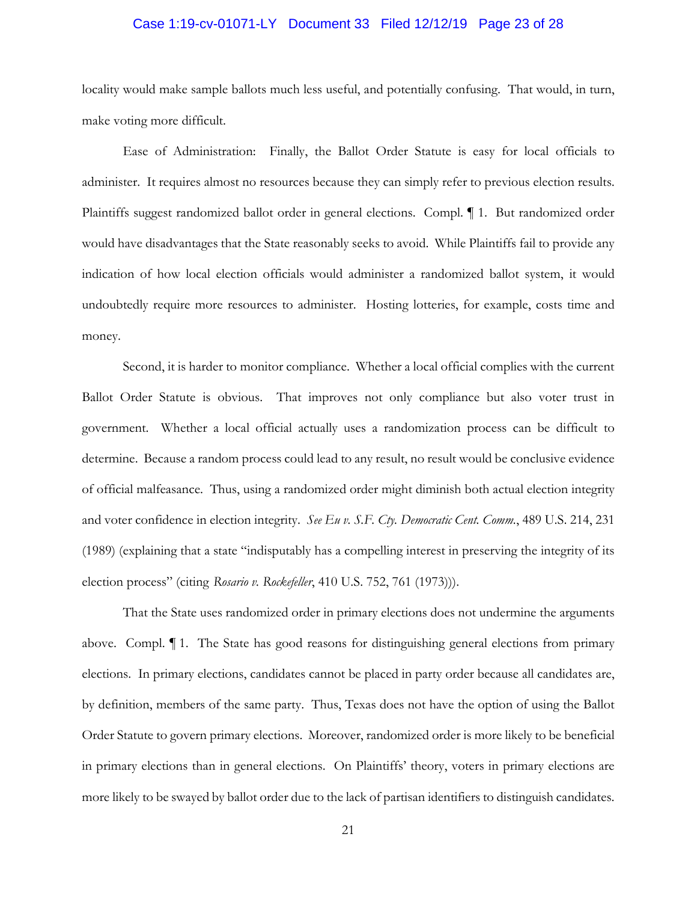# Case 1:19-cv-01071-LY Document 33 Filed 12/12/19 Page 23 of 28

locality would make sample ballots much less useful, and potentially confusing. That would, in turn, make voting more difficult.

Ease of Administration: Finally, the Ballot Order Statute is easy for local officials to administer. It requires almost no resources because they can simply refer to previous election results. Plaintiffs suggest randomized ballot order in general elections. Compl. ¶ 1. But randomized order would have disadvantages that the State reasonably seeks to avoid. While Plaintiffs fail to provide any indication of how local election officials would administer a randomized ballot system, it would undoubtedly require more resources to administer. Hosting lotteries, for example, costs time and money.

Second, it is harder to monitor compliance. Whether a local official complies with the current Ballot Order Statute is obvious. That improves not only compliance but also voter trust in government. Whether a local official actually uses a randomization process can be difficult to determine. Because a random process could lead to any result, no result would be conclusive evidence of official malfeasance. Thus, using a randomized order might diminish both actual election integrity and voter confidence in election integrity. *See Eu v. S.F. Cty. Democratic Cent. Comm.*, 489 U.S. 214, 231 (1989) (explaining that a state "indisputably has a compelling interest in preserving the integrity of its election process" (citing *Rosario v. Rockefeller*, 410 U.S. 752, 761 (1973))).

That the State uses randomized order in primary elections does not undermine the arguments above. Compl. ¶ 1. The State has good reasons for distinguishing general elections from primary elections. In primary elections, candidates cannot be placed in party order because all candidates are, by definition, members of the same party. Thus, Texas does not have the option of using the Ballot Order Statute to govern primary elections. Moreover, randomized order is more likely to be beneficial in primary elections than in general elections. On Plaintiffs' theory, voters in primary elections are more likely to be swayed by ballot order due to the lack of partisan identifiers to distinguish candidates.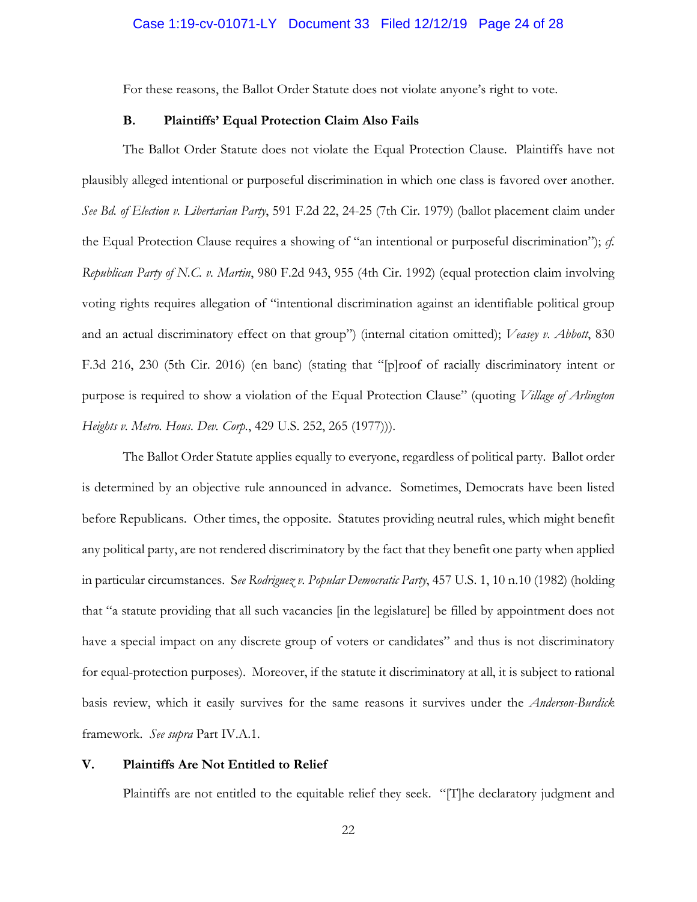For these reasons, the Ballot Order Statute does not violate anyone's right to vote.

# **B. Plaintiffs' Equal Protection Claim Also Fails**

The Ballot Order Statute does not violate the Equal Protection Clause. Plaintiffs have not plausibly alleged intentional or purposeful discrimination in which one class is favored over another. *See Bd. of Election v. Libertarian Party*, 591 F.2d 22, 24-25 (7th Cir. 1979) (ballot placement claim under the Equal Protection Clause requires a showing of "an intentional or purposeful discrimination"); *cf. Republican Party of N.C. v. Martin*, 980 F.2d 943, 955 (4th Cir. 1992) (equal protection claim involving voting rights requires allegation of "intentional discrimination against an identifiable political group and an actual discriminatory effect on that group") (internal citation omitted); *Veasey v. Abbott*, 830 F.3d 216, 230 (5th Cir. 2016) (en banc) (stating that "[p]roof of racially discriminatory intent or purpose is required to show a violation of the Equal Protection Clause" (quoting *Village of Arlington Heights v. Metro. Hous. Dev. Corp.*, 429 U.S. 252, 265 (1977))).

The Ballot Order Statute applies equally to everyone, regardless of political party. Ballot order is determined by an objective rule announced in advance. Sometimes, Democrats have been listed before Republicans. Other times, the opposite. Statutes providing neutral rules, which might benefit any political party, are not rendered discriminatory by the fact that they benefit one party when applied in particular circumstances. S*ee Rodriguez v. Popular Democratic Party*, 457 U.S. 1, 10 n.10 (1982) (holding that "a statute providing that all such vacancies [in the legislature] be filled by appointment does not have a special impact on any discrete group of voters or candidates" and thus is not discriminatory for equal-protection purposes). Moreover, if the statute it discriminatory at all, it is subject to rational basis review, which it easily survives for the same reasons it survives under the *Anderson-Burdick* framework. *See supra* Part IV.A.1.

# **V. Plaintiffs Are Not Entitled to Relief**

Plaintiffs are not entitled to the equitable relief they seek. "[T]he declaratory judgment and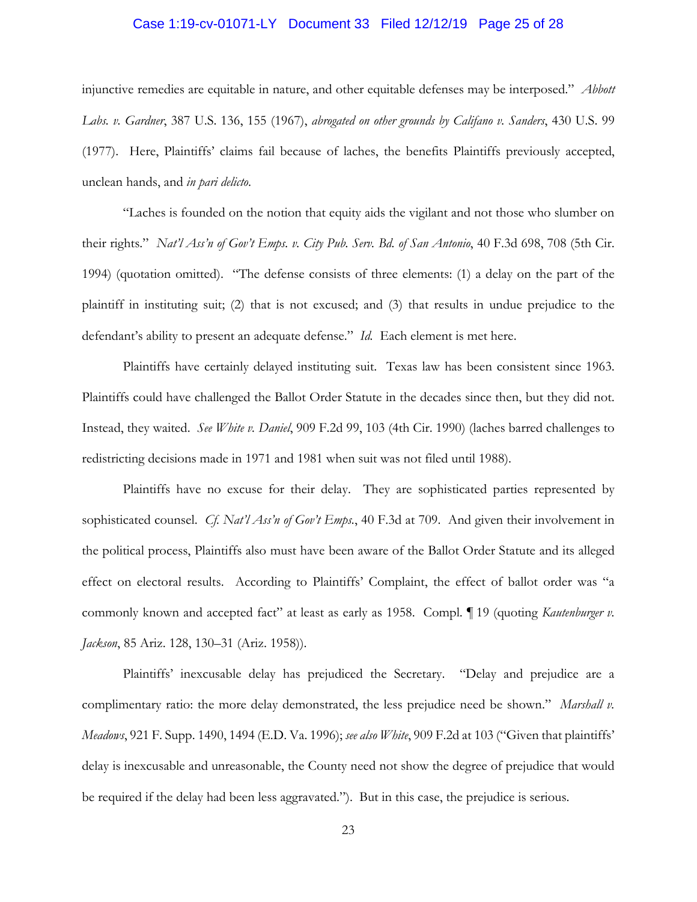### Case 1:19-cv-01071-LY Document 33 Filed 12/12/19 Page 25 of 28

injunctive remedies are equitable in nature, and other equitable defenses may be interposed." *Abbott Labs. v. Gardner*, 387 U.S. 136, 155 (1967), *abrogated on other grounds by Califano v. Sanders*, 430 U.S. 99 (1977). Here, Plaintiffs' claims fail because of laches, the benefits Plaintiffs previously accepted, unclean hands, and *in pari delicto*.

"Laches is founded on the notion that equity aids the vigilant and not those who slumber on their rights." *Nat'l Ass'n of Gov't Emps. v. City Pub. Serv. Bd. of San Antonio*, 40 F.3d 698, 708 (5th Cir. 1994) (quotation omitted). "The defense consists of three elements: (1) a delay on the part of the plaintiff in instituting suit; (2) that is not excused; and (3) that results in undue prejudice to the defendant's ability to present an adequate defense." *Id.* Each element is met here.

Plaintiffs have certainly delayed instituting suit. Texas law has been consistent since 1963. Plaintiffs could have challenged the Ballot Order Statute in the decades since then, but they did not. Instead, they waited. *See White v. Daniel*, 909 F.2d 99, 103 (4th Cir. 1990) (laches barred challenges to redistricting decisions made in 1971 and 1981 when suit was not filed until 1988).

Plaintiffs have no excuse for their delay. They are sophisticated parties represented by sophisticated counsel. *Cf. Nat'l Ass'n of Gov't Emps.*, 40 F.3d at 709. And given their involvement in the political process, Plaintiffs also must have been aware of the Ballot Order Statute and its alleged effect on electoral results. According to Plaintiffs' Complaint, the effect of ballot order was "a commonly known and accepted fact" at least as early as 1958. Compl. ¶ 19 (quoting *Kautenburger v. Jackson*, 85 Ariz. 128, 130–31 (Ariz. 1958)).

Plaintiffs' inexcusable delay has prejudiced the Secretary. "Delay and prejudice are a complimentary ratio: the more delay demonstrated, the less prejudice need be shown." *Marshall v. Meadows*, 921 F. Supp. 1490, 1494 (E.D. Va. 1996); *see also White*, 909 F.2d at 103 ("Given that plaintiffs' delay is inexcusable and unreasonable, the County need not show the degree of prejudice that would be required if the delay had been less aggravated."). But in this case, the prejudice is serious.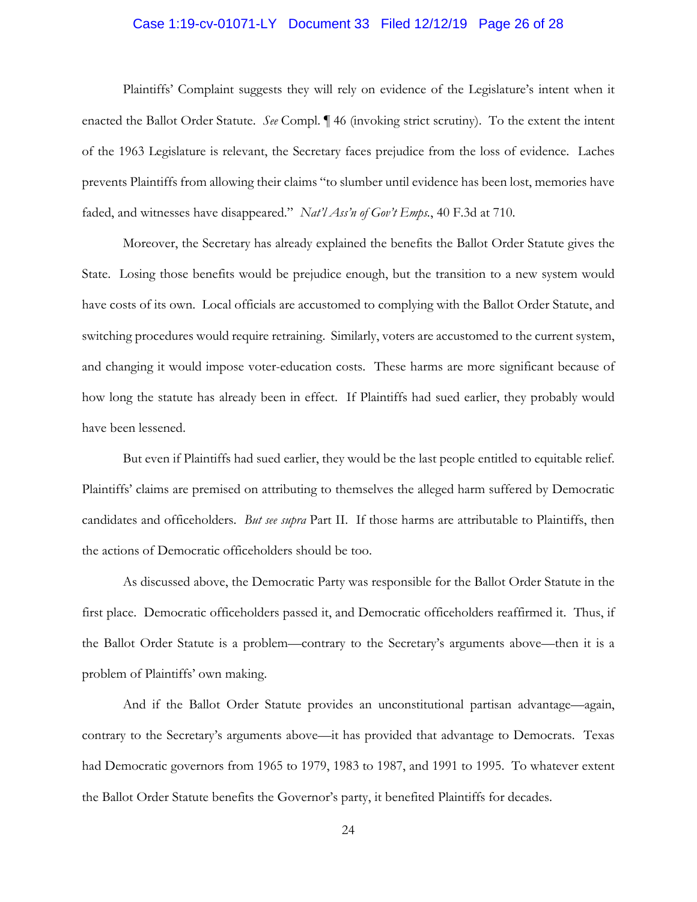# Case 1:19-cv-01071-LY Document 33 Filed 12/12/19 Page 26 of 28

Plaintiffs' Complaint suggests they will rely on evidence of the Legislature's intent when it enacted the Ballot Order Statute. *See* Compl. ¶ 46 (invoking strict scrutiny). To the extent the intent of the 1963 Legislature is relevant, the Secretary faces prejudice from the loss of evidence. Laches prevents Plaintiffs from allowing their claims "to slumber until evidence has been lost, memories have faded, and witnesses have disappeared." *Nat'l Ass'n of Gov't Emps.*, 40 F.3d at 710.

Moreover, the Secretary has already explained the benefits the Ballot Order Statute gives the State. Losing those benefits would be prejudice enough, but the transition to a new system would have costs of its own. Local officials are accustomed to complying with the Ballot Order Statute, and switching procedures would require retraining. Similarly, voters are accustomed to the current system, and changing it would impose voter-education costs. These harms are more significant because of how long the statute has already been in effect. If Plaintiffs had sued earlier, they probably would have been lessened.

But even if Plaintiffs had sued earlier, they would be the last people entitled to equitable relief. Plaintiffs' claims are premised on attributing to themselves the alleged harm suffered by Democratic candidates and officeholders. *But see supra* Part II. If those harms are attributable to Plaintiffs, then the actions of Democratic officeholders should be too.

As discussed above, the Democratic Party was responsible for the Ballot Order Statute in the first place. Democratic officeholders passed it, and Democratic officeholders reaffirmed it. Thus, if the Ballot Order Statute is a problem—contrary to the Secretary's arguments above—then it is a problem of Plaintiffs' own making.

And if the Ballot Order Statute provides an unconstitutional partisan advantage—again, contrary to the Secretary's arguments above—it has provided that advantage to Democrats. Texas had Democratic governors from 1965 to 1979, 1983 to 1987, and 1991 to 1995. To whatever extent the Ballot Order Statute benefits the Governor's party, it benefited Plaintiffs for decades.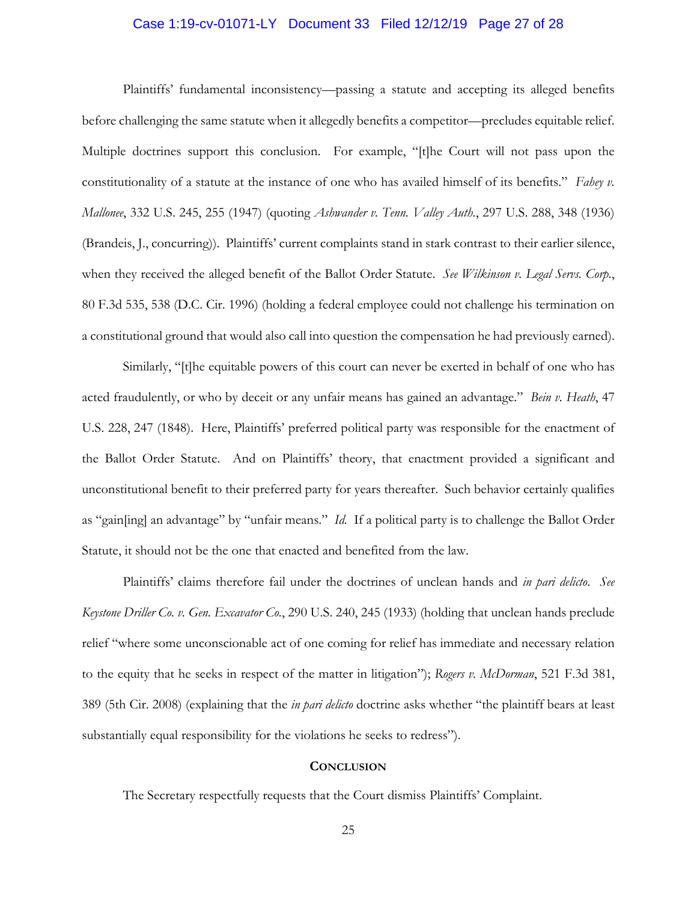### Case 1:19-cv-01071-LY Document 33 Filed 12/12/19 Page 27 of 28

Plaintiffs' fundamental inconsistency—passing a statute and accepting its alleged benefits before challenging the same statute when it allegedly benefits a competitor—precludes equitable relief. Multiple doctrines support this conclusion. For example, "[t]he Court will not pass upon the constitutionality of a statute at the instance of one who has availed himself of its benefits." *Fahey v. Mallonee*, 332 U.S. 245, 255 (1947) (quoting *Ashwander v. Tenn. Valley Auth.*, 297 U.S. 288, 348 (1936) (Brandeis, J., concurring)). Plaintiffs' current complaints stand in stark contrast to their earlier silence, when they received the alleged benefit of the Ballot Order Statute. *See Wilkinson v. Legal Servs. Corp.*, 80 F.3d 535, 538 (D.C. Cir. 1996) (holding a federal employee could not challenge his termination on a constitutional ground that would also call into question the compensation he had previously earned).

Similarly, "[t]he equitable powers of this court can never be exerted in behalf of one who has acted fraudulently, or who by deceit or any unfair means has gained an advantage." *Bein v. Heath*, 47 U.S. 228, 247 (1848). Here, Plaintiffs' preferred political party was responsible for the enactment of the Ballot Order Statute. And on Plaintiffs' theory, that enactment provided a significant and unconstitutional benefit to their preferred party for years thereafter. Such behavior certainly qualifies as "gain[ing] an advantage" by "unfair means." *Id.* If a political party is to challenge the Ballot Order Statute, it should not be the one that enacted and benefited from the law.

Plaintiffs' claims therefore fail under the doctrines of unclean hands and *in pari delicto*. *See Keystone Driller Co. v. Gen. Excavator Co.*, 290 U.S. 240, 245 (1933) (holding that unclean hands preclude relief "where some unconscionable act of one coming for relief has immediate and necessary relation to the equity that he seeks in respect of the matter in litigation"); *Rogers v. McDorman*, 521 F.3d 381, 389 (5th Cir. 2008) (explaining that the *in pari delicto* doctrine asks whether "the plaintiff bears at least substantially equal responsibility for the violations he seeks to redress").

### **CONCLUSION**

The Secretary respectfully requests that the Court dismiss Plaintiffs' Complaint.